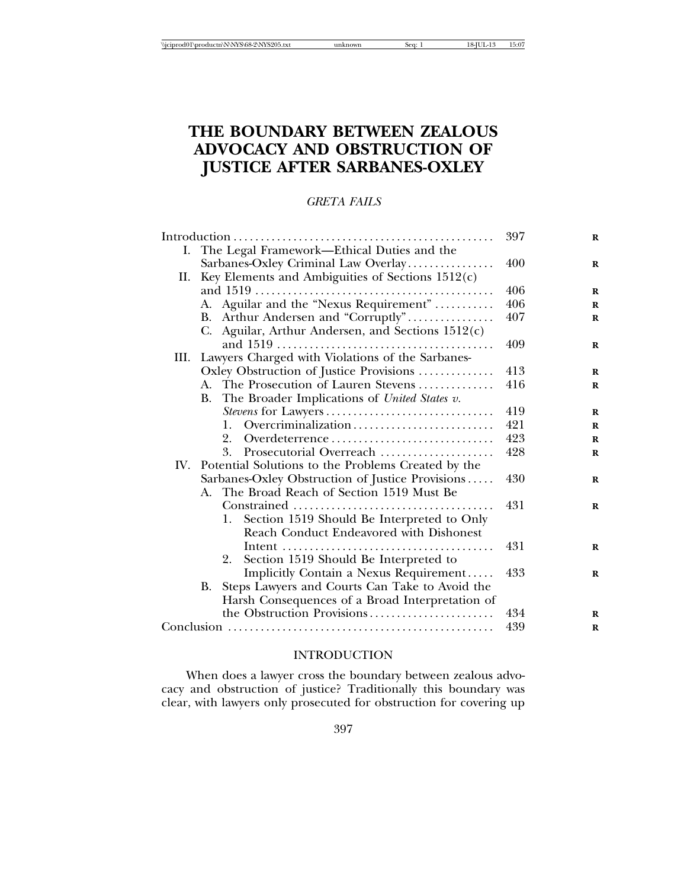# **THE BOUNDARY BETWEEN ZEALOUS ADVOCACY AND OBSTRUCTION OF JUSTICE AFTER SARBANES-OXLEY**

# *GRETA FAILS*

|     |                                                           | 397 | $\bf R$     |
|-----|-----------------------------------------------------------|-----|-------------|
|     | I. The Legal Framework—Ethical Duties and the             |     |             |
|     | Sarbanes-Oxley Criminal Law Overlay                       | 400 | $\bf{R}$    |
| II. | Key Elements and Ambiguities of Sections $1512(c)$        |     |             |
|     |                                                           | 406 | $\bf{R}$    |
|     | A. Aguilar and the "Nexus Requirement"                    | 406 | $\mathbf R$ |
|     | B. Arthur Andersen and "Corruptly"                        | 407 | $\bf{R}$    |
|     | C. Aguilar, Arthur Andersen, and Sections 1512(c)         |     |             |
|     |                                                           | 409 | $\bf{R}$    |
|     | III. Lawyers Charged with Violations of the Sarbanes-     |     |             |
|     | Oxley Obstruction of Justice Provisions                   | 413 | $\bf{R}$    |
|     | A. The Prosecution of Lauren Stevens                      | 416 | $\bf{R}$    |
|     | The Broader Implications of United States v.<br><b>B.</b> |     |             |
|     |                                                           | 419 | $\bf{R}$    |
|     | Overcriminalization<br>1.                                 | 421 | $\bf{R}$    |
|     | 2.<br>Overdeterrence                                      | 423 | $\mathbf R$ |
|     | 3.<br>Prosecutorial Overreach                             | 428 | $\mathbf R$ |
|     | IV. Potential Solutions to the Problems Created by the    |     |             |
|     | Sarbanes-Oxley Obstruction of Justice Provisions          | 430 | R           |
|     | The Broad Reach of Section 1519 Must Be<br>A.             |     |             |
|     |                                                           | 431 | $\bf R$     |
|     | Section 1519 Should Be Interpreted to Only<br>1.          |     |             |
|     | Reach Conduct Endeavored with Dishonest                   |     |             |
|     |                                                           | 431 | $\bf R$     |
|     | Section 1519 Should Be Interpreted to<br>2.               |     |             |
|     | Implicitly Contain a Nexus Requirement                    | 433 | $\bf{R}$    |
|     | Steps Lawyers and Courts Can Take to Avoid the<br>B.      |     |             |
|     | Harsh Consequences of a Broad Interpretation of           |     |             |
|     | the Obstruction Provisions                                | 434 | $\mathbf R$ |
|     |                                                           | 439 | R           |

# INTRODUCTION

When does a lawyer cross the boundary between zealous advocacy and obstruction of justice? Traditionally this boundary was clear, with lawyers only prosecuted for obstruction for covering up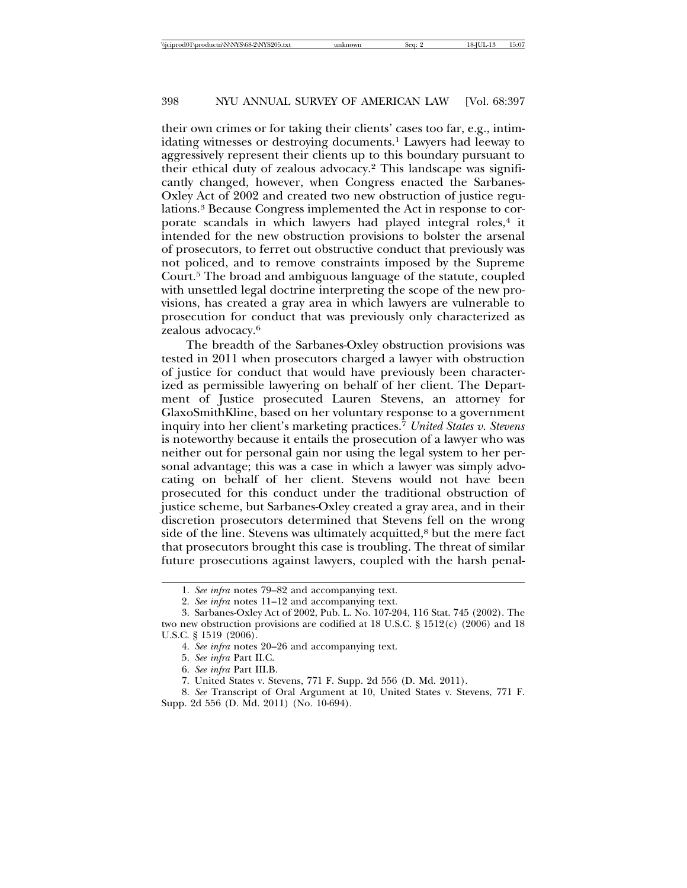their own crimes or for taking their clients' cases too far, e.g., intimidating witnesses or destroying documents.<sup>1</sup> Lawyers had leeway to aggressively represent their clients up to this boundary pursuant to their ethical duty of zealous advocacy.2 This landscape was significantly changed, however, when Congress enacted the Sarbanes-Oxley Act of 2002 and created two new obstruction of justice regulations.3 Because Congress implemented the Act in response to corporate scandals in which lawyers had played integral roles,<sup>4</sup> it intended for the new obstruction provisions to bolster the arsenal of prosecutors, to ferret out obstructive conduct that previously was not policed, and to remove constraints imposed by the Supreme Court.5 The broad and ambiguous language of the statute, coupled with unsettled legal doctrine interpreting the scope of the new provisions, has created a gray area in which lawyers are vulnerable to prosecution for conduct that was previously only characterized as zealous advocacy.6

The breadth of the Sarbanes-Oxley obstruction provisions was tested in 2011 when prosecutors charged a lawyer with obstruction of justice for conduct that would have previously been characterized as permissible lawyering on behalf of her client. The Department of Justice prosecuted Lauren Stevens, an attorney for GlaxoSmithKline, based on her voluntary response to a government inquiry into her client's marketing practices.7 *United States v. Stevens* is noteworthy because it entails the prosecution of a lawyer who was neither out for personal gain nor using the legal system to her personal advantage; this was a case in which a lawyer was simply advocating on behalf of her client. Stevens would not have been prosecuted for this conduct under the traditional obstruction of justice scheme, but Sarbanes-Oxley created a gray area, and in their discretion prosecutors determined that Stevens fell on the wrong side of the line. Stevens was ultimately acquitted, $8$  but the mere fact that prosecutors brought this case is troubling. The threat of similar future prosecutions against lawyers, coupled with the harsh penal-

<sup>1.</sup> *See infra* notes 79–82 and accompanying text.

<sup>2.</sup> *See infra* notes 11–12 and accompanying text.

<sup>3.</sup> Sarbanes-Oxley Act of 2002, Pub. L. No. 107-204, 116 Stat. 745 (2002). The two new obstruction provisions are codified at 18 U.S.C. § 1512(c) (2006) and 18 U.S.C. § 1519 (2006).

<sup>4.</sup> *See infra* notes 20–26 and accompanying text.

<sup>5.</sup> *See infra* Part II.C.

<sup>6.</sup> *See infra* Part III.B.

<sup>7.</sup> United States v. Stevens, 771 F. Supp. 2d 556 (D. Md. 2011).

<sup>8.</sup> *See* Transcript of Oral Argument at 10, United States v. Stevens, 771 F. Supp. 2d 556 (D. Md. 2011) (No. 10-694).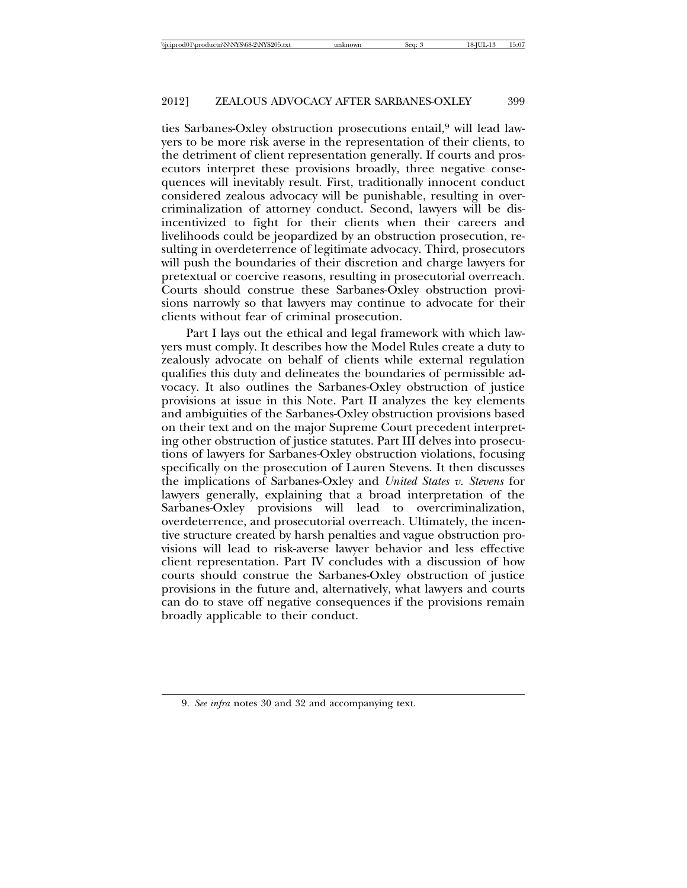ties Sarbanes-Oxley obstruction prosecutions entail,<sup>9</sup> will lead lawyers to be more risk averse in the representation of their clients, to the detriment of client representation generally. If courts and prosecutors interpret these provisions broadly, three negative consequences will inevitably result. First, traditionally innocent conduct considered zealous advocacy will be punishable, resulting in overcriminalization of attorney conduct. Second, lawyers will be disincentivized to fight for their clients when their careers and livelihoods could be jeopardized by an obstruction prosecution, resulting in overdeterrence of legitimate advocacy. Third, prosecutors will push the boundaries of their discretion and charge lawyers for pretextual or coercive reasons, resulting in prosecutorial overreach. Courts should construe these Sarbanes-Oxley obstruction provisions narrowly so that lawyers may continue to advocate for their clients without fear of criminal prosecution.

Part I lays out the ethical and legal framework with which lawyers must comply. It describes how the Model Rules create a duty to zealously advocate on behalf of clients while external regulation qualifies this duty and delineates the boundaries of permissible advocacy. It also outlines the Sarbanes-Oxley obstruction of justice provisions at issue in this Note. Part II analyzes the key elements and ambiguities of the Sarbanes-Oxley obstruction provisions based on their text and on the major Supreme Court precedent interpreting other obstruction of justice statutes. Part III delves into prosecutions of lawyers for Sarbanes-Oxley obstruction violations, focusing specifically on the prosecution of Lauren Stevens. It then discusses the implications of Sarbanes-Oxley and *United States v. Stevens* for lawyers generally, explaining that a broad interpretation of the Sarbanes-Oxley provisions will lead to overcriminalization, overdeterrence, and prosecutorial overreach. Ultimately, the incentive structure created by harsh penalties and vague obstruction provisions will lead to risk-averse lawyer behavior and less effective client representation. Part IV concludes with a discussion of how courts should construe the Sarbanes-Oxley obstruction of justice provisions in the future and, alternatively, what lawyers and courts can do to stave off negative consequences if the provisions remain broadly applicable to their conduct.

<sup>9.</sup> *See infra* notes 30 and 32 and accompanying text.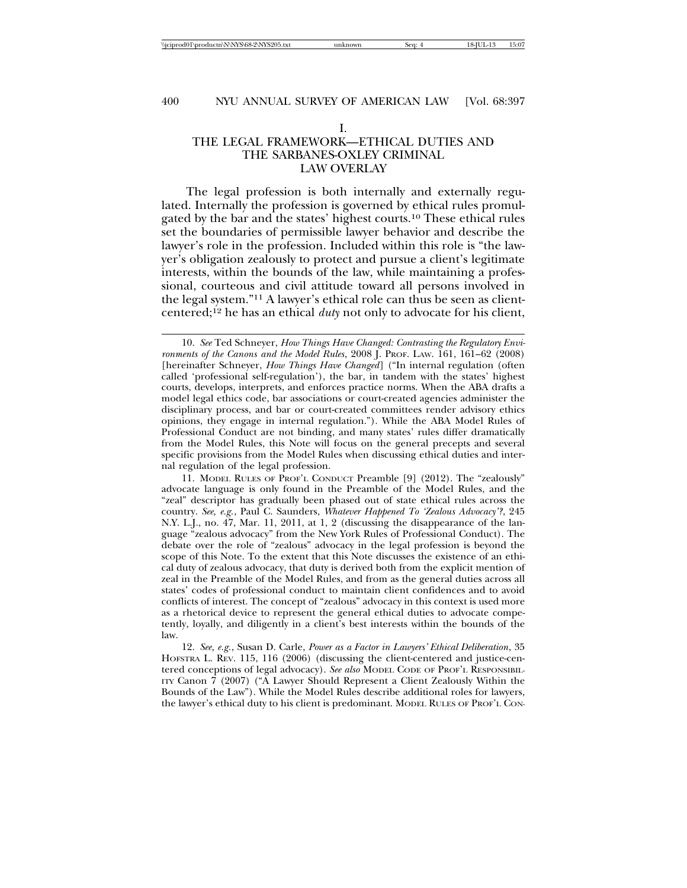#### I.

# THE LEGAL FRAMEWORK—ETHICAL DUTIES AND THE SARBANES-OXLEY CRIMINAL LAW OVERLAY

The legal profession is both internally and externally regulated. Internally the profession is governed by ethical rules promulgated by the bar and the states' highest courts.10 These ethical rules set the boundaries of permissible lawyer behavior and describe the lawyer's role in the profession. Included within this role is "the lawyer's obligation zealously to protect and pursue a client's legitimate interests, within the bounds of the law, while maintaining a professional, courteous and civil attitude toward all persons involved in the legal system."11 A lawyer's ethical role can thus be seen as clientcentered;12 he has an ethical *duty* not only to advocate for his client,

11. MODEL RULES OF PROF'L CONDUCT Preamble [9] (2012). The "zealously" advocate language is only found in the Preamble of the Model Rules, and the "zeal" descriptor has gradually been phased out of state ethical rules across the country. *See, e.g.*, Paul C. Saunders, *Whatever Happened To 'Zealous Advocacy'?*, 245 N.Y. L.J., no. 47, Mar. 11, 2011, at 1, 2 (discussing the disappearance of the language "zealous advocacy" from the New York Rules of Professional Conduct). The debate over the role of "zealous" advocacy in the legal profession is beyond the scope of this Note. To the extent that this Note discusses the existence of an ethical duty of zealous advocacy, that duty is derived both from the explicit mention of zeal in the Preamble of the Model Rules, and from as the general duties across all states' codes of professional conduct to maintain client confidences and to avoid conflicts of interest. The concept of "zealous" advocacy in this context is used more as a rhetorical device to represent the general ethical duties to advocate competently, loyally, and diligently in a client's best interests within the bounds of the law.

12. *See, e.g.*, Susan D. Carle, *Power as a Factor in Lawyers' Ethical Deliberation*, 35 HOFSTRA L. REV. 115, 116 (2006) (discussing the client-centered and justice-centered conceptions of legal advocacy). *See also* MODEL CODE OF PROF'L RESPONSIBIL-ITY Canon 7 (2007) ("A Lawyer Should Represent a Client Zealously Within the Bounds of the Law"). While the Model Rules describe additional roles for lawyers, the lawyer's ethical duty to his client is predominant. MODEL RULES OF PROF'L CON-

<sup>10.</sup> *See* Ted Schneyer, *How Things Have Changed: Contrasting the Regulatory Environments of the Canons and the Model Rules*, 2008 J. PROF. LAW. 161, 161–62 (2008) [hereinafter Schneyer, *How Things Have Changed*] ("In internal regulation (often called 'professional self-regulation'), the bar, in tandem with the states' highest courts, develops, interprets, and enforces practice norms. When the ABA drafts a model legal ethics code, bar associations or court-created agencies administer the disciplinary process, and bar or court-created committees render advisory ethics opinions, they engage in internal regulation."). While the ABA Model Rules of Professional Conduct are not binding, and many states' rules differ dramatically from the Model Rules, this Note will focus on the general precepts and several specific provisions from the Model Rules when discussing ethical duties and internal regulation of the legal profession.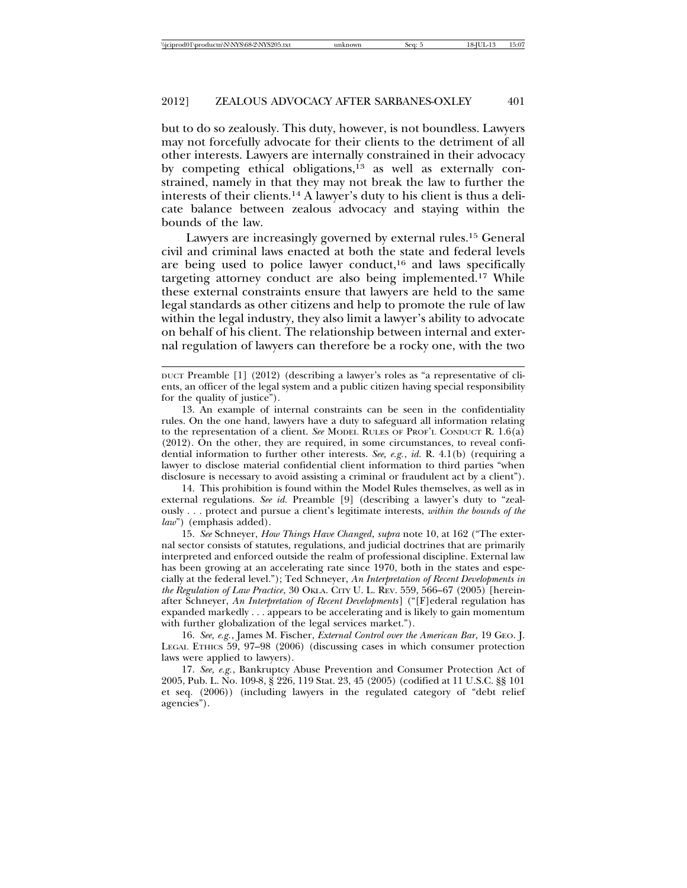but to do so zealously. This duty, however, is not boundless. Lawyers may not forcefully advocate for their clients to the detriment of all other interests. Lawyers are internally constrained in their advocacy by competing ethical obligations,13 as well as externally constrained, namely in that they may not break the law to further the interests of their clients.14 A lawyer's duty to his client is thus a delicate balance between zealous advocacy and staying within the bounds of the law.

Lawyers are increasingly governed by external rules.15 General civil and criminal laws enacted at both the state and federal levels are being used to police lawyer conduct,16 and laws specifically targeting attorney conduct are also being implemented.17 While these external constraints ensure that lawyers are held to the same legal standards as other citizens and help to promote the rule of law within the legal industry, they also limit a lawyer's ability to advocate on behalf of his client. The relationship between internal and external regulation of lawyers can therefore be a rocky one, with the two

14. This prohibition is found within the Model Rules themselves, as well as in external regulations. *See id.* Preamble [9] (describing a lawyer's duty to "zealously . . . protect and pursue a client's legitimate interests, *within the bounds of the law*") (emphasis added).

15. *See* Schneyer, *How Things Have Changed*, *supra* note 10, at 162 ("The external sector consists of statutes, regulations, and judicial doctrines that are primarily interpreted and enforced outside the realm of professional discipline. External law has been growing at an accelerating rate since 1970, both in the states and especially at the federal level."); Ted Schneyer, *An Interpretation of Recent Developments in the Regulation of Law Practice*, 30 OKLA. CITY U. L. REV. 559, 566–67 (2005) [hereinafter Schneyer, *An Interpretation of Recent Developments*] ("[F]ederal regulation has expanded markedly . . . appears to be accelerating and is likely to gain momentum with further globalization of the legal services market.").

16. *See, e.g.*, James M. Fischer, *External Control over the American Bar*, 19 GEO. J. LEGAL ETHICS 59, 97–98 (2006) (discussing cases in which consumer protection laws were applied to lawyers).

17. *See, e.g.*, Bankruptcy Abuse Prevention and Consumer Protection Act of 2005, Pub. L. No. 109-8, § 226, 119 Stat. 23, 45 (2005) (codified at 11 U.S.C. §§ 101 et seq. (2006)) (including lawyers in the regulated category of "debt relief agencies").

DUCT Preamble [1] (2012) (describing a lawyer's roles as "a representative of clients, an officer of the legal system and a public citizen having special responsibility for the quality of justice").

<sup>13.</sup> An example of internal constraints can be seen in the confidentiality rules. On the one hand, lawyers have a duty to safeguard all information relating to the representation of a client. *See* MODEL RULES OF PROF'L CONDUCT R. 1.6(a) (2012). On the other, they are required, in some circumstances, to reveal confidential information to further other interests. *See, e.g.*, *id.* R. 4.1(b) (requiring a lawyer to disclose material confidential client information to third parties "when disclosure is necessary to avoid assisting a criminal or fraudulent act by a client").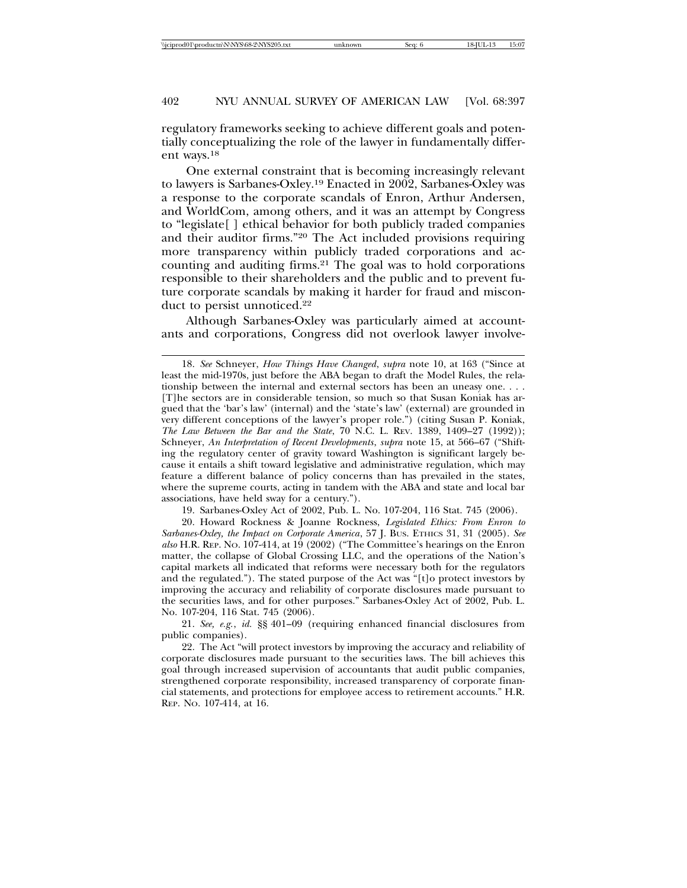regulatory frameworks seeking to achieve different goals and potentially conceptualizing the role of the lawyer in fundamentally different ways.18

One external constraint that is becoming increasingly relevant to lawyers is Sarbanes-Oxley.19 Enacted in 2002, Sarbanes-Oxley was a response to the corporate scandals of Enron, Arthur Andersen, and WorldCom, among others, and it was an attempt by Congress to "legislate[ ] ethical behavior for both publicly traded companies and their auditor firms."20 The Act included provisions requiring more transparency within publicly traded corporations and accounting and auditing firms.21 The goal was to hold corporations responsible to their shareholders and the public and to prevent future corporate scandals by making it harder for fraud and misconduct to persist unnoticed.<sup>22</sup>

Although Sarbanes-Oxley was particularly aimed at accountants and corporations, Congress did not overlook lawyer involve-

19. Sarbanes-Oxley Act of 2002, Pub. L. No. 107-204, 116 Stat. 745 (2006).

20. Howard Rockness & Joanne Rockness, *Legislated Ethics: From Enron to Sarbanes-Oxley, the Impact on Corporate America*, 57 J. BUS. ETHICS 31, 31 (2005). *See also* H.R. REP. NO. 107-414, at 19 (2002) ("The Committee's hearings on the Enron matter, the collapse of Global Crossing LLC, and the operations of the Nation's capital markets all indicated that reforms were necessary both for the regulators and the regulated."). The stated purpose of the Act was "[t]o protect investors by improving the accuracy and reliability of corporate disclosures made pursuant to the securities laws, and for other purposes." Sarbanes-Oxley Act of 2002, Pub. L. No. 107-204, 116 Stat. 745 (2006).

21. *See, e.g.*, *id.* §§ 401–09 (requiring enhanced financial disclosures from public companies).

22. The Act "will protect investors by improving the accuracy and reliability of corporate disclosures made pursuant to the securities laws. The bill achieves this goal through increased supervision of accountants that audit public companies, strengthened corporate responsibility, increased transparency of corporate financial statements, and protections for employee access to retirement accounts." H.R. REP. NO. 107-414, at 16.

<sup>18.</sup> *See* Schneyer, *How Things Have Changed*, *supra* note 10, at 163 ("Since at least the mid-1970s, just before the ABA began to draft the Model Rules, the relationship between the internal and external sectors has been an uneasy one. . . . [T]he sectors are in considerable tension, so much so that Susan Koniak has argued that the 'bar's law' (internal) and the 'state's law' (external) are grounded in very different conceptions of the lawyer's proper role.") (citing Susan P. Koniak, *The Law Between the Bar and the State*, 70 N.C. L. REV. 1389, 1409–27 (1992)); Schneyer, *An Interpretation of Recent Developments*, *supra* note 15, at 566–67 ("Shifting the regulatory center of gravity toward Washington is significant largely because it entails a shift toward legislative and administrative regulation, which may feature a different balance of policy concerns than has prevailed in the states, where the supreme courts, acting in tandem with the ABA and state and local bar associations, have held sway for a century.").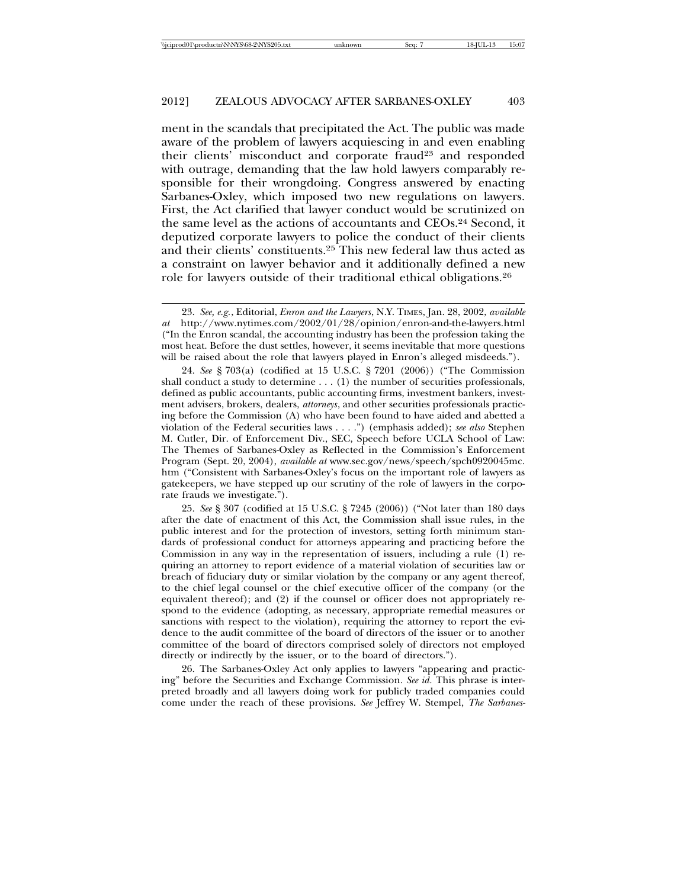ment in the scandals that precipitated the Act. The public was made aware of the problem of lawyers acquiescing in and even enabling their clients' misconduct and corporate fraud<sup>23</sup> and responded with outrage, demanding that the law hold lawyers comparably responsible for their wrongdoing. Congress answered by enacting Sarbanes-Oxley, which imposed two new regulations on lawyers. First, the Act clarified that lawyer conduct would be scrutinized on the same level as the actions of accountants and CEOs.24 Second, it deputized corporate lawyers to police the conduct of their clients and their clients' constituents.25 This new federal law thus acted as a constraint on lawyer behavior and it additionally defined a new role for lawyers outside of their traditional ethical obligations.26

24. *See* § 703(a) (codified at 15 U.S.C. § 7201 (2006)) ("The Commission shall conduct a study to determine  $\dots$  (1) the number of securities professionals, defined as public accountants, public accounting firms, investment bankers, investment advisers, brokers, dealers, *attorneys*, and other securities professionals practicing before the Commission (A) who have been found to have aided and abetted a violation of the Federal securities laws . . . .") (emphasis added); *see also* Stephen M. Cutler, Dir. of Enforcement Div., SEC, Speech before UCLA School of Law: The Themes of Sarbanes-Oxley as Reflected in the Commission's Enforcement Program (Sept. 20, 2004), *available at* www.sec.gov/news/speech/spch0920045mc. htm ("Consistent with Sarbanes-Oxley's focus on the important role of lawyers as gatekeepers, we have stepped up our scrutiny of the role of lawyers in the corporate frauds we investigate.").

25. *See* § 307 (codified at 15 U.S.C. § 7245 (2006)) ("Not later than 180 days after the date of enactment of this Act, the Commission shall issue rules, in the public interest and for the protection of investors, setting forth minimum standards of professional conduct for attorneys appearing and practicing before the Commission in any way in the representation of issuers, including a rule (1) requiring an attorney to report evidence of a material violation of securities law or breach of fiduciary duty or similar violation by the company or any agent thereof, to the chief legal counsel or the chief executive officer of the company (or the equivalent thereof); and (2) if the counsel or officer does not appropriately respond to the evidence (adopting, as necessary, appropriate remedial measures or sanctions with respect to the violation), requiring the attorney to report the evidence to the audit committee of the board of directors of the issuer or to another committee of the board of directors comprised solely of directors not employed directly or indirectly by the issuer, or to the board of directors.").

26. The Sarbanes-Oxley Act only applies to lawyers "appearing and practicing" before the Securities and Exchange Commission. *See id.* This phrase is interpreted broadly and all lawyers doing work for publicly traded companies could come under the reach of these provisions. *See* Jeffrey W. Stempel, *The Sarbanes-*

<sup>23.</sup> *See, e.g.*, Editorial, *Enron and the Lawyers*, N.Y. TIMES, Jan. 28, 2002, *available at* http://www.nytimes.com/2002/01/28/opinion/enron-and-the-lawyers.html ("In the Enron scandal, the accounting industry has been the profession taking the most heat. Before the dust settles, however, it seems inevitable that more questions will be raised about the role that lawyers played in Enron's alleged misdeeds.").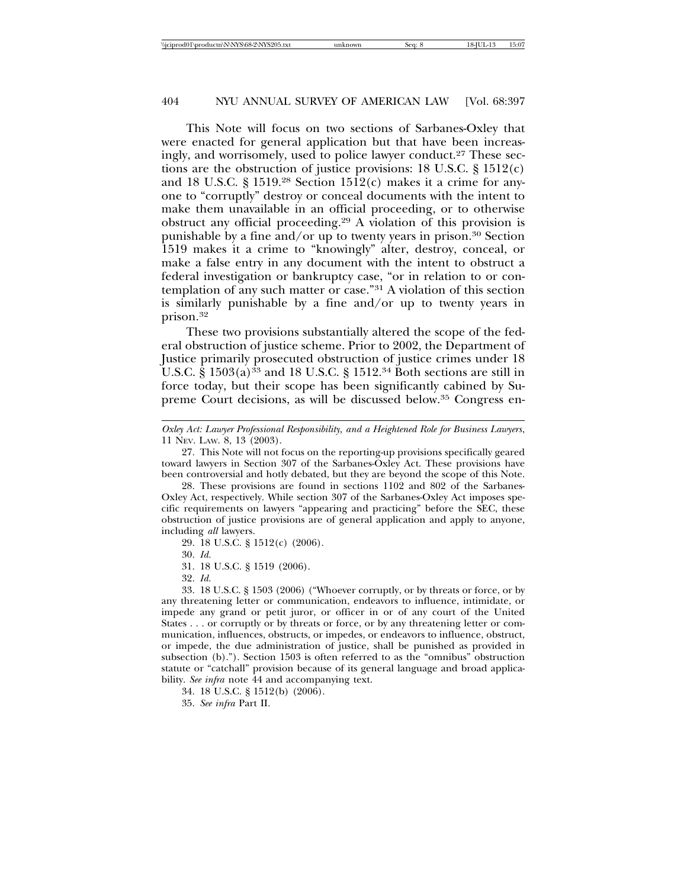This Note will focus on two sections of Sarbanes-Oxley that were enacted for general application but that have been increasingly, and worrisomely, used to police lawyer conduct.<sup>27</sup> These sections are the obstruction of justice provisions:  $18 \text{ U.S.C. }$  §  $1512(c)$ and 18 U.S.C.  $\S$  1519.<sup>28</sup> Section 1512(c) makes it a crime for anyone to "corruptly" destroy or conceal documents with the intent to make them unavailable in an official proceeding, or to otherwise obstruct any official proceeding.29 A violation of this provision is punishable by a fine and/or up to twenty years in prison.<sup>30</sup> Section 1519 makes it a crime to "knowingly" alter, destroy, conceal, or make a false entry in any document with the intent to obstruct a federal investigation or bankruptcy case, "or in relation to or contemplation of any such matter or case."31 A violation of this section is similarly punishable by a fine and/or up to twenty years in prison.32

These two provisions substantially altered the scope of the federal obstruction of justice scheme. Prior to 2002, the Department of Justice primarily prosecuted obstruction of justice crimes under 18 U.S.C. §  $1503(a)^{33}$  and 18 U.S.C. § 1512.<sup>34</sup> Both sections are still in force today, but their scope has been significantly cabined by Supreme Court decisions, as will be discussed below.35 Congress en-

29. 18 U.S.C. § 1512(c) (2006).

30. *Id.*

31. 18 U.S.C. § 1519 (2006).

32. *Id.*

35. *See infra* Part II.

*Oxley Act: Lawyer Professional Responsibility, and a Heightened Role for Business Lawyers*, 11 NEV. LAW. 8, 13 (2003).

<sup>27.</sup> This Note will not focus on the reporting-up provisions specifically geared toward lawyers in Section 307 of the Sarbanes-Oxley Act. These provisions have been controversial and hotly debated, but they are beyond the scope of this Note.

<sup>28.</sup> These provisions are found in sections 1102 and 802 of the Sarbanes-Oxley Act, respectively. While section 307 of the Sarbanes-Oxley Act imposes specific requirements on lawyers "appearing and practicing" before the SEC, these obstruction of justice provisions are of general application and apply to anyone, including *all* lawyers.

<sup>33. 18</sup> U.S.C. § 1503 (2006) ("Whoever corruptly, or by threats or force, or by any threatening letter or communication, endeavors to influence, intimidate, or impede any grand or petit juror, or officer in or of any court of the United States . . . or corruptly or by threats or force, or by any threatening letter or communication, influences, obstructs, or impedes, or endeavors to influence, obstruct, or impede, the due administration of justice, shall be punished as provided in subsection (b)."). Section 1503 is often referred to as the "omnibus" obstruction statute or "catchall" provision because of its general language and broad applicability. *See infra* note 44 and accompanying text.

<sup>34. 18</sup> U.S.C. § 1512(b) (2006).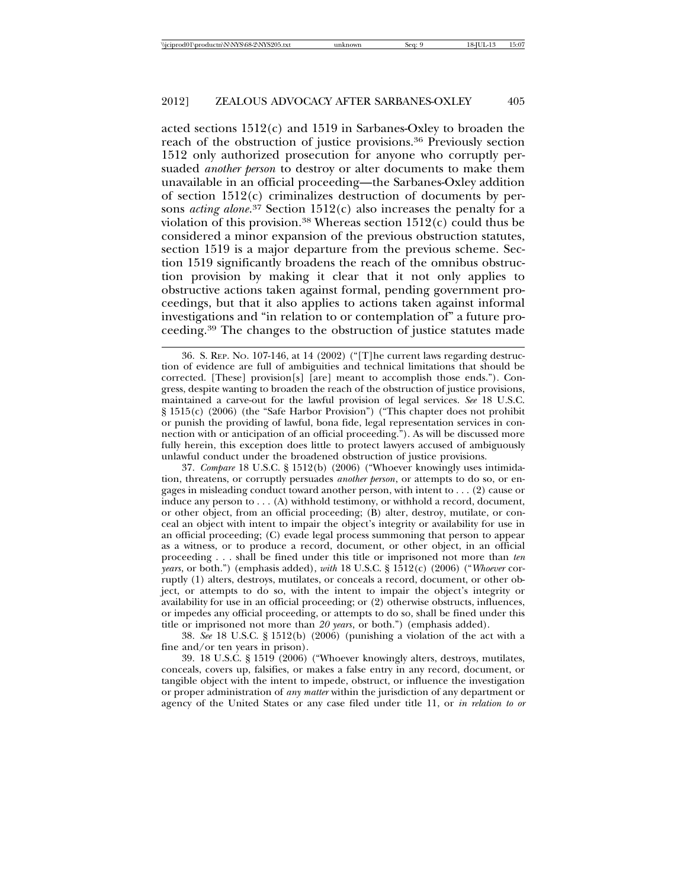acted sections 1512(c) and 1519 in Sarbanes-Oxley to broaden the reach of the obstruction of justice provisions.36 Previously section 1512 only authorized prosecution for anyone who corruptly persuaded *another person* to destroy or alter documents to make them unavailable in an official proceeding—the Sarbanes-Oxley addition of section 1512(c) criminalizes destruction of documents by persons *acting alone*. 37 Section 1512(c) also increases the penalty for a violation of this provision.<sup>38</sup> Whereas section  $1512(c)$  could thus be considered a minor expansion of the previous obstruction statutes, section 1519 is a major departure from the previous scheme. Section 1519 significantly broadens the reach of the omnibus obstruction provision by making it clear that it not only applies to obstructive actions taken against formal, pending government proceedings, but that it also applies to actions taken against informal investigations and "in relation to or contemplation of" a future proceeding.39 The changes to the obstruction of justice statutes made

37. *Compare* 18 U.S.C. § 1512(b) (2006) ("Whoever knowingly uses intimidation, threatens, or corruptly persuades *another person*, or attempts to do so, or engages in misleading conduct toward another person, with intent to . . . (2) cause or induce any person to  $\dots$  (A) withhold testimony, or withhold a record, document, or other object, from an official proceeding; (B) alter, destroy, mutilate, or conceal an object with intent to impair the object's integrity or availability for use in an official proceeding; (C) evade legal process summoning that person to appear as a witness, or to produce a record, document, or other object, in an official proceeding . . . shall be fined under this title or imprisoned not more than *ten years*, or both.") (emphasis added), *with* 18 U.S.C. § 1512(c) (2006) ("*Whoever* corruptly (1) alters, destroys, mutilates, or conceals a record, document, or other object, or attempts to do so, with the intent to impair the object's integrity or availability for use in an official proceeding; or (2) otherwise obstructs, influences, or impedes any official proceeding, or attempts to do so, shall be fined under this title or imprisoned not more than *20 years*, or both.") (emphasis added).

38. *See* 18 U.S.C. § 1512(b) (2006) (punishing a violation of the act with a fine and/or ten years in prison).

39. 18 U.S.C. § 1519 (2006) ("Whoever knowingly alters, destroys, mutilates, conceals, covers up, falsifies, or makes a false entry in any record, document, or tangible object with the intent to impede, obstruct, or influence the investigation or proper administration of *any matter* within the jurisdiction of any department or agency of the United States or any case filed under title 11, or *in relation to or*

<sup>36.</sup> S. REP. NO. 107-146, at 14 (2002) ("[T]he current laws regarding destruction of evidence are full of ambiguities and technical limitations that should be corrected. [These] provision[s] [are] meant to accomplish those ends."). Congress, despite wanting to broaden the reach of the obstruction of justice provisions, maintained a carve-out for the lawful provision of legal services. *See* 18 U.S.C. § 1515(c) (2006) (the "Safe Harbor Provision") ("This chapter does not prohibit or punish the providing of lawful, bona fide, legal representation services in connection with or anticipation of an official proceeding."). As will be discussed more fully herein, this exception does little to protect lawyers accused of ambiguously unlawful conduct under the broadened obstruction of justice provisions.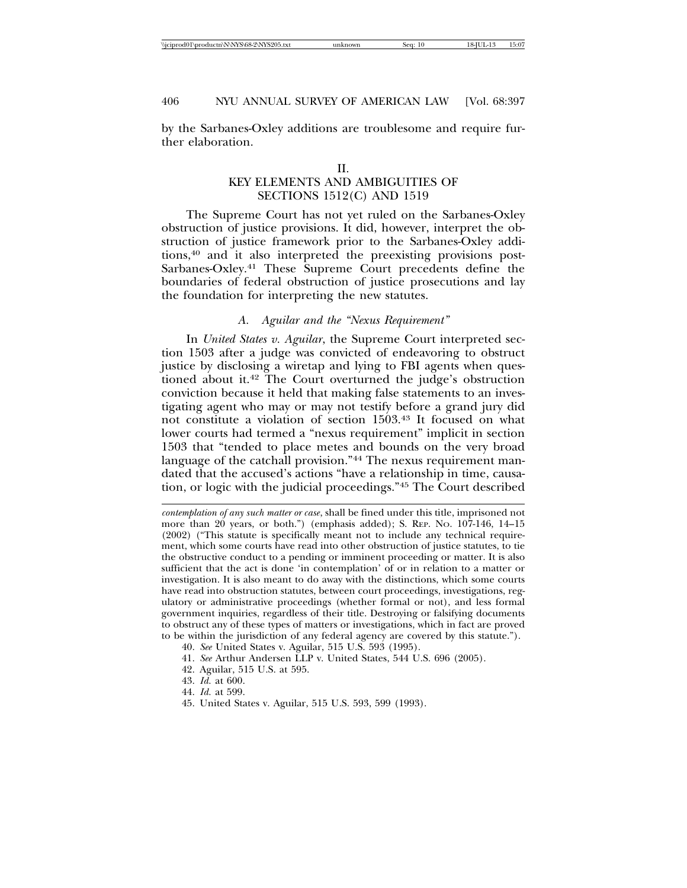by the Sarbanes-Oxley additions are troublesome and require further elaboration.

# KEY ELEMENTS AND AMBIGUITIES OF SECTIONS 1512(C) AND 1519

The Supreme Court has not yet ruled on the Sarbanes-Oxley obstruction of justice provisions. It did, however, interpret the obstruction of justice framework prior to the Sarbanes-Oxley additions,40 and it also interpreted the preexisting provisions post-Sarbanes-Oxley.41 These Supreme Court precedents define the boundaries of federal obstruction of justice prosecutions and lay the foundation for interpreting the new statutes.

# *A. Aguilar and the "Nexus Requirement"*

In *United States v. Aguilar*, the Supreme Court interpreted section 1503 after a judge was convicted of endeavoring to obstruct justice by disclosing a wiretap and lying to FBI agents when questioned about it.42 The Court overturned the judge's obstruction conviction because it held that making false statements to an investigating agent who may or may not testify before a grand jury did not constitute a violation of section 1503.43 It focused on what lower courts had termed a "nexus requirement" implicit in section 1503 that "tended to place metes and bounds on the very broad language of the catchall provision."44 The nexus requirement mandated that the accused's actions "have a relationship in time, causation, or logic with the judicial proceedings."45 The Court described

- 41. *See* Arthur Andersen LLP v. United States, 544 U.S. 696 (2005).
- 42. Aguilar, 515 U.S. at 595.
- 43. *Id.* at 600.
- 44. *Id.* at 599.
- 45. United States v. Aguilar, 515 U.S. 593, 599 (1993).

*contemplation of any such matter or case*, shall be fined under this title, imprisoned not more than 20 years, or both.") (emphasis added); S. REP. NO. 107-146, 14–15 (2002) ("This statute is specifically meant not to include any technical requirement, which some courts have read into other obstruction of justice statutes, to tie the obstructive conduct to a pending or imminent proceeding or matter. It is also sufficient that the act is done 'in contemplation' of or in relation to a matter or investigation. It is also meant to do away with the distinctions, which some courts have read into obstruction statutes, between court proceedings, investigations, regulatory or administrative proceedings (whether formal or not), and less formal government inquiries, regardless of their title. Destroying or falsifying documents to obstruct any of these types of matters or investigations, which in fact are proved to be within the jurisdiction of any federal agency are covered by this statute.").

<sup>40.</sup> *See* United States v. Aguilar, 515 U.S. 593 (1995).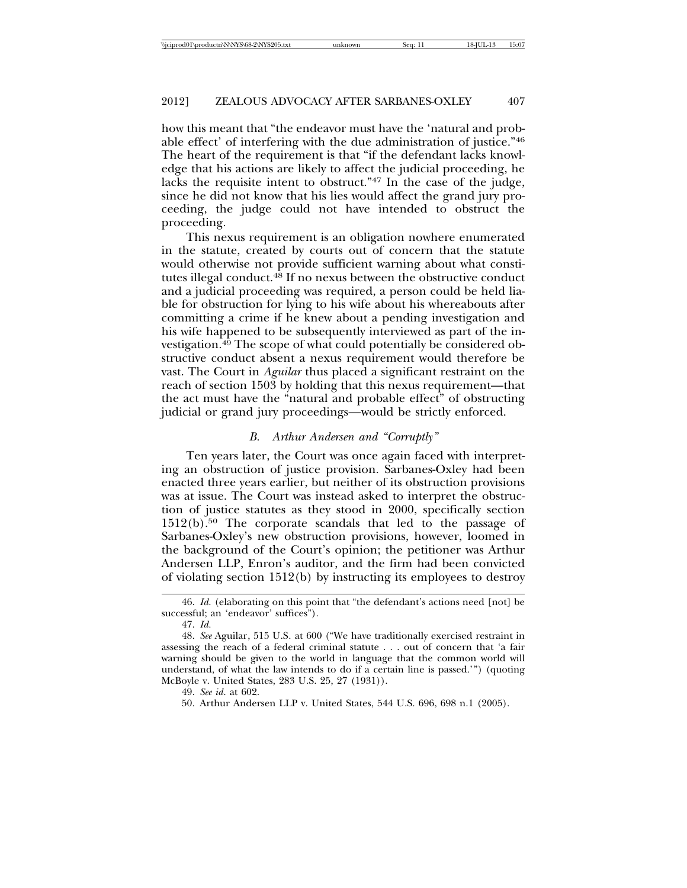how this meant that "the endeavor must have the 'natural and probable effect' of interfering with the due administration of justice."46 The heart of the requirement is that "if the defendant lacks knowledge that his actions are likely to affect the judicial proceeding, he lacks the requisite intent to obstruct."47 In the case of the judge, since he did not know that his lies would affect the grand jury proceeding, the judge could not have intended to obstruct the proceeding.

This nexus requirement is an obligation nowhere enumerated in the statute, created by courts out of concern that the statute would otherwise not provide sufficient warning about what constitutes illegal conduct.48 If no nexus between the obstructive conduct and a judicial proceeding was required, a person could be held liable for obstruction for lying to his wife about his whereabouts after committing a crime if he knew about a pending investigation and his wife happened to be subsequently interviewed as part of the investigation.49 The scope of what could potentially be considered obstructive conduct absent a nexus requirement would therefore be vast. The Court in *Aguilar* thus placed a significant restraint on the reach of section 1503 by holding that this nexus requirement—that the act must have the "natural and probable effect" of obstructing judicial or grand jury proceedings—would be strictly enforced.

#### *B. Arthur Andersen and "Corruptly"*

Ten years later, the Court was once again faced with interpreting an obstruction of justice provision. Sarbanes-Oxley had been enacted three years earlier, but neither of its obstruction provisions was at issue. The Court was instead asked to interpret the obstruction of justice statutes as they stood in 2000, specifically section 1512(b).50 The corporate scandals that led to the passage of Sarbanes-Oxley's new obstruction provisions, however, loomed in the background of the Court's opinion; the petitioner was Arthur Andersen LLP, Enron's auditor, and the firm had been convicted of violating section 1512(b) by instructing its employees to destroy

<sup>46.</sup> *Id.* (elaborating on this point that "the defendant's actions need [not] be successful; an 'endeavor' suffices").

<sup>47.</sup> *Id.* 

<sup>48.</sup> *See* Aguilar, 515 U.S*.* at 600 ("We have traditionally exercised restraint in assessing the reach of a federal criminal statute . . . out of concern that 'a fair warning should be given to the world in language that the common world will understand, of what the law intends to do if a certain line is passed.'") (quoting McBoyle v. United States, 283 U.S. 25, 27 (1931)).

<sup>49.</sup> *See id*. at 602.

<sup>50.</sup> Arthur Andersen LLP v. United States, 544 U.S. 696, 698 n.1 (2005).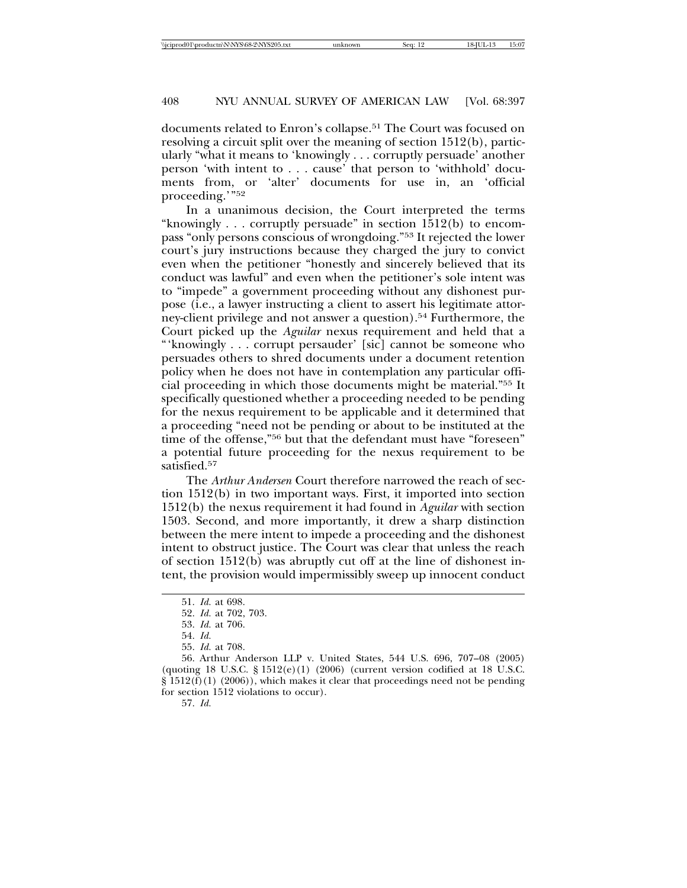documents related to Enron's collapse.51 The Court was focused on resolving a circuit split over the meaning of section 1512(b), particularly "what it means to 'knowingly . . . corruptly persuade' another person 'with intent to . . . cause' that person to 'withhold' documents from, or 'alter' documents for use in, an 'official proceeding.'"52

In a unanimous decision, the Court interpreted the terms "knowingly . . . corruptly persuade" in section 1512(b) to encompass "only persons conscious of wrongdoing."53 It rejected the lower court's jury instructions because they charged the jury to convict even when the petitioner "honestly and sincerely believed that its conduct was lawful" and even when the petitioner's sole intent was to "impede" a government proceeding without any dishonest purpose (i.e., a lawyer instructing a client to assert his legitimate attorney-client privilege and not answer a question).54 Furthermore, the Court picked up the *Aguilar* nexus requirement and held that a "'knowingly . . . corrupt persauder' [sic] cannot be someone who persuades others to shred documents under a document retention policy when he does not have in contemplation any particular official proceeding in which those documents might be material."55 It specifically questioned whether a proceeding needed to be pending for the nexus requirement to be applicable and it determined that a proceeding "need not be pending or about to be instituted at the time of the offense,"56 but that the defendant must have "foreseen" a potential future proceeding for the nexus requirement to be satisfied.<sup>57</sup>

The *Arthur Andersen* Court therefore narrowed the reach of section 1512(b) in two important ways. First, it imported into section 1512(b) the nexus requirement it had found in *Aguilar* with section 1503. Second, and more importantly, it drew a sharp distinction between the mere intent to impede a proceeding and the dishonest intent to obstruct justice. The Court was clear that unless the reach of section 1512(b) was abruptly cut off at the line of dishonest intent, the provision would impermissibly sweep up innocent conduct

57. *Id.*

<sup>51.</sup> *Id.* at 698.

<sup>52.</sup> *Id.* at 702, 703.

<sup>53.</sup> *Id.* at 706.

<sup>54.</sup> *Id.*

<sup>55.</sup> *Id.* at 708.

<sup>56.</sup> Arthur Anderson LLP v. United States, 544 U.S. 696, 707–08 (2005) (quoting 18 U.S.C. § 1512(e)(1) (2006) (current version codified at 18 U.S.C.  $\S 1512(f)(1) (2006)$ , which makes it clear that proceedings need not be pending for section 1512 violations to occur).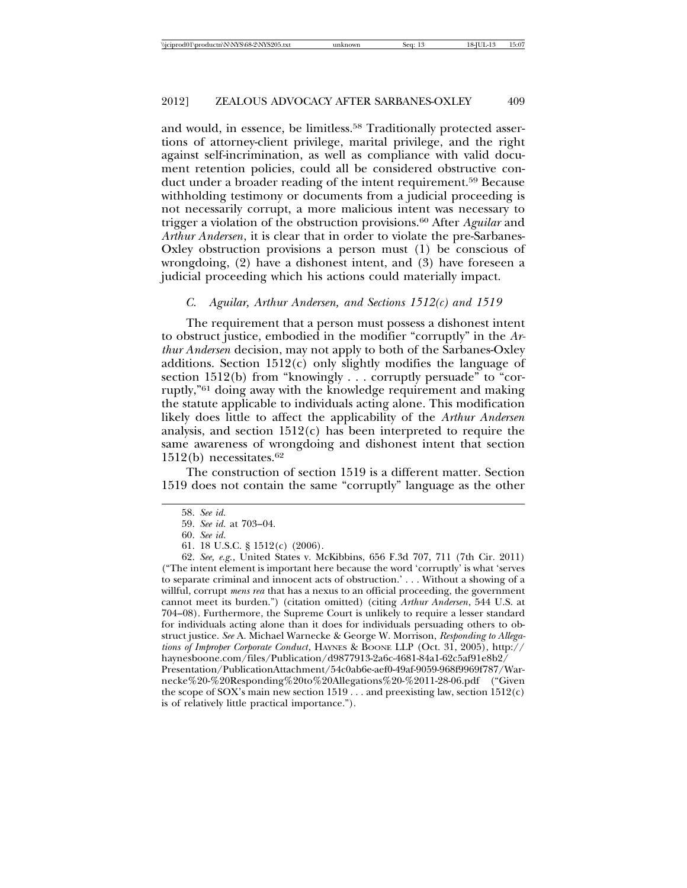and would, in essence, be limitless.<sup>58</sup> Traditionally protected assertions of attorney-client privilege, marital privilege, and the right against self-incrimination, as well as compliance with valid document retention policies, could all be considered obstructive conduct under a broader reading of the intent requirement.59 Because withholding testimony or documents from a judicial proceeding is not necessarily corrupt, a more malicious intent was necessary to trigger a violation of the obstruction provisions.60 After *Aguilar* and *Arthur Andersen*, it is clear that in order to violate the pre-Sarbanes-Oxley obstruction provisions a person must (1) be conscious of wrongdoing, (2) have a dishonest intent, and (3) have foreseen a judicial proceeding which his actions could materially impact.

#### *C. Aguilar, Arthur Andersen, and Sections 1512(c) and 1519*

The requirement that a person must possess a dishonest intent to obstruct justice, embodied in the modifier "corruptly" in the *Arthur Andersen* decision, may not apply to both of the Sarbanes-Oxley additions. Section 1512(c) only slightly modifies the language of section 1512(b) from "knowingly . . . corruptly persuade" to "corruptly,"61 doing away with the knowledge requirement and making the statute applicable to individuals acting alone. This modification likely does little to affect the applicability of the *Arthur Andersen* analysis, and section 1512(c) has been interpreted to require the same awareness of wrongdoing and dishonest intent that section  $1512(b)$  necessitates.<sup>62</sup>

The construction of section 1519 is a different matter. Section 1519 does not contain the same "corruptly" language as the other

is of relatively little practical importance.").

<sup>58.</sup> *See id.* 

<sup>59.</sup> *See id.* at 703–04.

<sup>60.</sup> *See id.*

<sup>61. 18</sup> U.S.C. § 1512(c) (2006).

<sup>62.</sup> *See, e.g.*, United States v. McKibbins, 656 F.3d 707, 711 (7th Cir. 2011) ("The intent element is important here because the word 'corruptly' is what 'serves to separate criminal and innocent acts of obstruction.' . . . Without a showing of a willful, corrupt *mens rea* that has a nexus to an official proceeding, the government cannot meet its burden.") (citation omitted) (citing *Arthur Andersen*, 544 U.S. at 704–08). Furthermore, the Supreme Court is unlikely to require a lesser standard for individuals acting alone than it does for individuals persuading others to obstruct justice. *See* A. Michael Warnecke & George W. Morrison, *Responding to Allegations of Improper Corporate Conduct*, HAYNES & BOONE LLP (Oct. 31, 2005), http:// haynesboone.com/files/Publication/d9877913-2a6c-4681-84a1-62c5af91e8b2/ Presentation/PublicationAttachment/54c0ab6e-aef0-49af-9059-968f9969f787/Warnecke%20-%20Responding%20to%20Allegations%20-%2011-28-06.pdf ("Given the scope of SOX's main new section 1519 . . . and preexisting law, section 1512(c)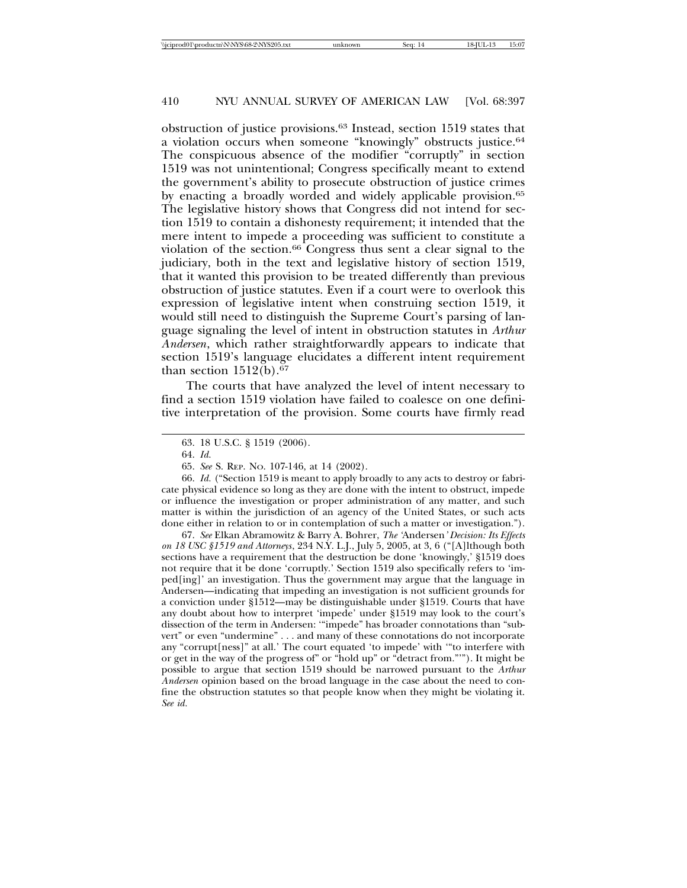obstruction of justice provisions.63 Instead, section 1519 states that a violation occurs when someone "knowingly" obstructs justice.<sup>64</sup> The conspicuous absence of the modifier "corruptly" in section 1519 was not unintentional; Congress specifically meant to extend the government's ability to prosecute obstruction of justice crimes by enacting a broadly worded and widely applicable provision.<sup>65</sup> The legislative history shows that Congress did not intend for section 1519 to contain a dishonesty requirement; it intended that the mere intent to impede a proceeding was sufficient to constitute a violation of the section.66 Congress thus sent a clear signal to the judiciary, both in the text and legislative history of section 1519, that it wanted this provision to be treated differently than previous obstruction of justice statutes. Even if a court were to overlook this expression of legislative intent when construing section 1519, it would still need to distinguish the Supreme Court's parsing of language signaling the level of intent in obstruction statutes in *Arthur Andersen*, which rather straightforwardly appears to indicate that section 1519's language elucidates a different intent requirement than section  $1512(b).<sup>67</sup>$ 

The courts that have analyzed the level of intent necessary to find a section 1519 violation have failed to coalesce on one definitive interpretation of the provision. Some courts have firmly read

67. *See* Elkan Abramowitz & Barry A. Bohrer, *The '*Andersen*' Decision: Its Effects on 18 USC §1519 and Attorneys*, 234 N.Y. L.J., July 5, 2005, at 3, 6 ("[A]lthough both sections have a requirement that the destruction be done 'knowingly,' §1519 does not require that it be done 'corruptly.' Section 1519 also specifically refers to 'imped[ing]' an investigation. Thus the government may argue that the language in Andersen—indicating that impeding an investigation is not sufficient grounds for a conviction under §1512—may be distinguishable under §1519. Courts that have any doubt about how to interpret 'impede' under §1519 may look to the court's dissection of the term in Andersen: '"impede" has broader connotations than "subvert" or even "undermine" . . . and many of these connotations do not incorporate any "corrupt[ness]" at all.' The court equated 'to impede' with '"to interfere with or get in the way of the progress of" or "hold up" or "detract from."'"). It might be possible to argue that section 1519 should be narrowed pursuant to the *Arthur Andersen* opinion based on the broad language in the case about the need to confine the obstruction statutes so that people know when they might be violating it. *See id.*

<sup>63. 18</sup> U.S.C. § 1519 (2006).

<sup>64.</sup> *Id.*

<sup>65.</sup> *See* S. REP. NO. 107-146, at 14 (2002).

<sup>66.</sup> *Id.* ("Section 1519 is meant to apply broadly to any acts to destroy or fabricate physical evidence so long as they are done with the intent to obstruct, impede or influence the investigation or proper administration of any matter, and such matter is within the jurisdiction of an agency of the United States, or such acts done either in relation to or in contemplation of such a matter or investigation.").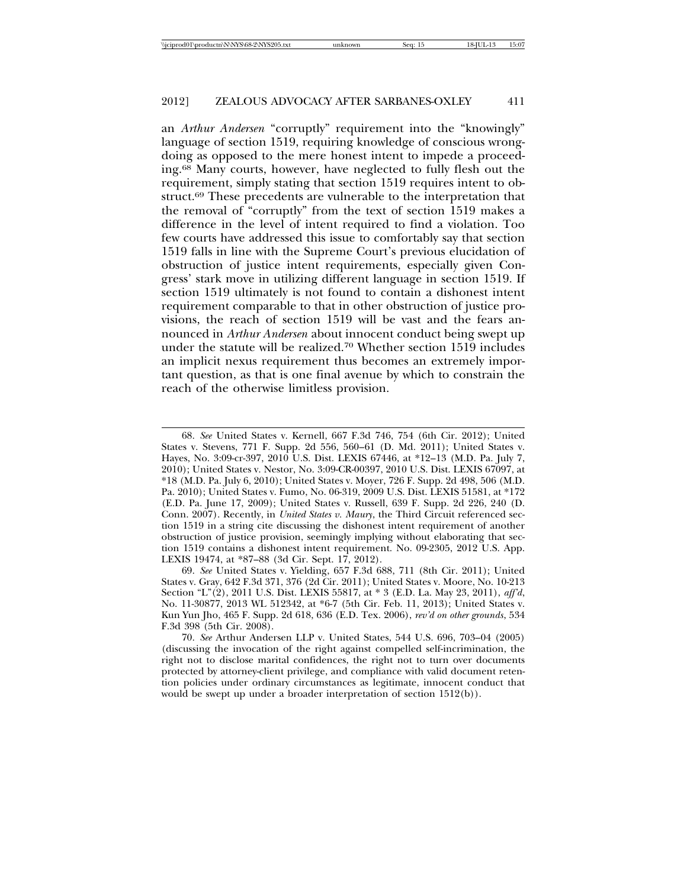an *Arthur Andersen* "corruptly" requirement into the "knowingly" language of section 1519, requiring knowledge of conscious wrongdoing as opposed to the mere honest intent to impede a proceeding.68 Many courts, however, have neglected to fully flesh out the requirement, simply stating that section 1519 requires intent to obstruct.<sup>69</sup> These precedents are vulnerable to the interpretation that the removal of "corruptly" from the text of section 1519 makes a difference in the level of intent required to find a violation. Too few courts have addressed this issue to comfortably say that section 1519 falls in line with the Supreme Court's previous elucidation of obstruction of justice intent requirements, especially given Congress' stark move in utilizing different language in section 1519. If section 1519 ultimately is not found to contain a dishonest intent requirement comparable to that in other obstruction of justice provisions, the reach of section 1519 will be vast and the fears announced in *Arthur Andersen* about innocent conduct being swept up under the statute will be realized.70 Whether section 1519 includes an implicit nexus requirement thus becomes an extremely important question, as that is one final avenue by which to constrain the reach of the otherwise limitless provision.

<sup>68.</sup> *See* United States v. Kernell, 667 F.3d 746, 754 (6th Cir. 2012); United States v. Stevens, 771 F. Supp. 2d 556, 560–61 (D. Md. 2011); United States v. Hayes, No. 3:09-cr-397, 2010 U.S. Dist. LEXIS 67446, at \*12–13 (M.D. Pa. July 7, 2010); United States v. Nestor, No. 3:09-CR-00397, 2010 U.S. Dist. LEXIS 67097, at \*18 (M.D. Pa. July 6, 2010); United States v. Moyer, 726 F. Supp. 2d 498, 506 (M.D. Pa. 2010); United States v. Fumo, No. 06-319, 2009 U.S. Dist. LEXIS 51581, at \*172 (E.D. Pa. June 17, 2009); United States v. Russell, 639 F. Supp. 2d 226, 240 (D. Conn. 2007). Recently, in *United States v. Maury*, the Third Circuit referenced section 1519 in a string cite discussing the dishonest intent requirement of another obstruction of justice provision, seemingly implying without elaborating that section 1519 contains a dishonest intent requirement. No. 09-2305, 2012 U.S. App. LEXIS 19474, at \*87–88 (3d Cir. Sept. 17, 2012).

<sup>69.</sup> *See* United States v. Yielding, 657 F.3d 688, 711 (8th Cir. 2011); United States v. Gray, 642 F.3d 371, 376 (2d Cir. 2011); United States v. Moore, No. 10-213 Section "L"(2), 2011 U.S. Dist. LEXIS 55817, at \* 3 (E.D. La. May 23, 2011), *aff'd*, No. 11-30877, 2013 WL 512342, at \*6-7 (5th Cir. Feb. 11, 2013); United States v. Kun Yun Jho, 465 F. Supp. 2d 618, 636 (E.D. Tex. 2006), *rev'd on other grounds*, 534 F.3d 398 (5th Cir. 2008).

<sup>70.</sup> *See* Arthur Andersen LLP v. United States, 544 U.S. 696, 703–04 (2005) (discussing the invocation of the right against compelled self-incrimination, the right not to disclose marital confidences, the right not to turn over documents protected by attorney-client privilege, and compliance with valid document retention policies under ordinary circumstances as legitimate, innocent conduct that would be swept up under a broader interpretation of section 1512(b)).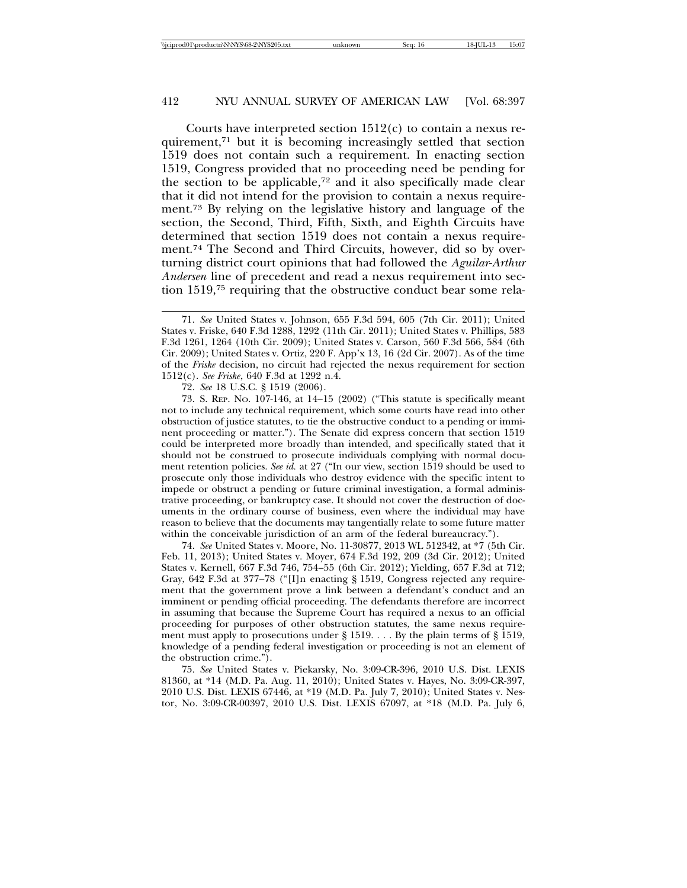Courts have interpreted section 1512(c) to contain a nexus requirement,71 but it is becoming increasingly settled that section 1519 does not contain such a requirement. In enacting section 1519, Congress provided that no proceeding need be pending for the section to be applicable,72 and it also specifically made clear that it did not intend for the provision to contain a nexus requirement.73 By relying on the legislative history and language of the section, the Second, Third, Fifth, Sixth, and Eighth Circuits have determined that section 1519 does not contain a nexus requirement.74 The Second and Third Circuits, however, did so by overturning district court opinions that had followed the *Aguilar*-*Arthur Andersen* line of precedent and read a nexus requirement into section 1519,75 requiring that the obstructive conduct bear some rela-

72. *See* 18 U.S.C. § 1519 (2006).

73. S. REP. NO. 107-146, at 14–15 (2002) ("This statute is specifically meant not to include any technical requirement, which some courts have read into other obstruction of justice statutes, to tie the obstructive conduct to a pending or imminent proceeding or matter."). The Senate did express concern that section 1519 could be interpreted more broadly than intended, and specifically stated that it should not be construed to prosecute individuals complying with normal document retention policies. *See id.* at 27 ("In our view, section 1519 should be used to prosecute only those individuals who destroy evidence with the specific intent to impede or obstruct a pending or future criminal investigation, a formal administrative proceeding, or bankruptcy case. It should not cover the destruction of documents in the ordinary course of business, even where the individual may have reason to believe that the documents may tangentially relate to some future matter within the conceivable jurisdiction of an arm of the federal bureaucracy.").

74. *See* United States v. Moore, No. 11-30877, 2013 WL 512342, at \*7 (5th Cir. Feb. 11, 2013); United States v. Moyer, 674 F.3d 192, 209 (3d Cir. 2012); United States v. Kernell, 667 F.3d 746, 754–55 (6th Cir. 2012); Yielding, 657 F.3d at 712; Gray, 642 F.3d at 377–78 ("[I]n enacting § 1519, Congress rejected any requirement that the government prove a link between a defendant's conduct and an imminent or pending official proceeding. The defendants therefore are incorrect in assuming that because the Supreme Court has required a nexus to an official proceeding for purposes of other obstruction statutes, the same nexus requirement must apply to prosecutions under § 1519. . . . By the plain terms of § 1519, knowledge of a pending federal investigation or proceeding is not an element of the obstruction crime.").

75. *See* United States v. Piekarsky, No. 3:09-CR-396, 2010 U.S. Dist. LEXIS 81360, at \*14 (M.D. Pa. Aug. 11, 2010); United States v. Hayes, No. 3:09-CR-397, 2010 U.S. Dist. LEXIS 67446, at \*19 (M.D. Pa. July 7, 2010); United States v. Nestor, No. 3:09-CR-00397, 2010 U.S. Dist. LEXIS 67097, at \*18 (M.D. Pa. July 6,

<sup>71.</sup> *See* United States v. Johnson, 655 F.3d 594, 605 (7th Cir. 2011); United States v. Friske, 640 F.3d 1288, 1292 (11th Cir. 2011); United States v. Phillips, 583 F.3d 1261, 1264 (10th Cir. 2009); United States v. Carson, 560 F.3d 566, 584 (6th Cir. 2009); United States v. Ortiz, 220 F. App'x 13, 16 (2d Cir. 2007). As of the time of the *Friske* decision, no circuit had rejected the nexus requirement for section 1512(c). *See Friske*, 640 F.3d at 1292 n.4.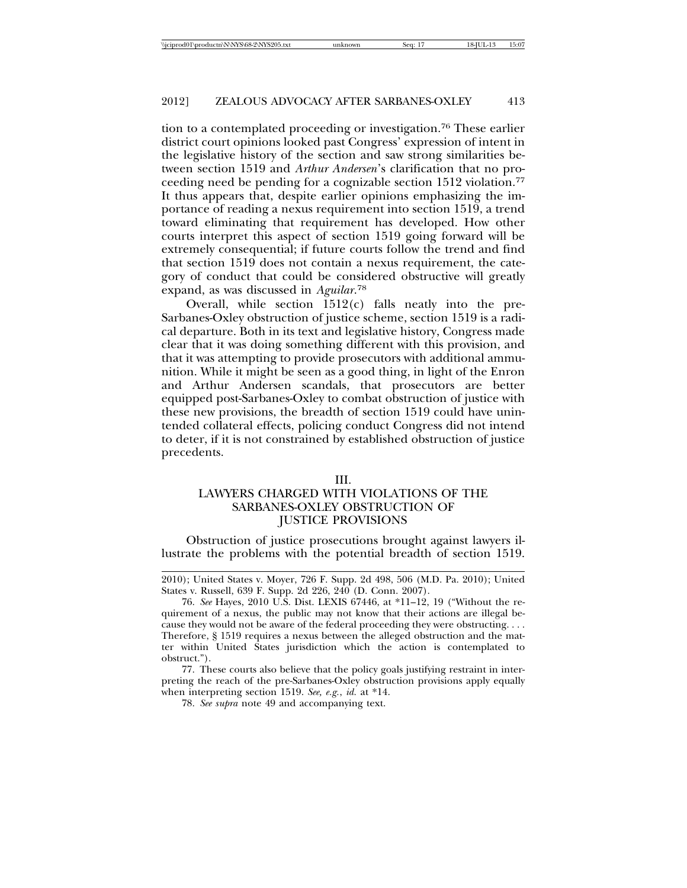tion to a contemplated proceeding or investigation.76 These earlier district court opinions looked past Congress' expression of intent in the legislative history of the section and saw strong similarities between section 1519 and *Arthur Andersen*'s clarification that no proceeding need be pending for a cognizable section 1512 violation.77 It thus appears that, despite earlier opinions emphasizing the importance of reading a nexus requirement into section 1519, a trend toward eliminating that requirement has developed. How other courts interpret this aspect of section 1519 going forward will be extremely consequential; if future courts follow the trend and find that section 1519 does not contain a nexus requirement, the category of conduct that could be considered obstructive will greatly expand, as was discussed in *Aguilar*. 78

Overall, while section 1512(c) falls neatly into the pre-Sarbanes-Oxley obstruction of justice scheme, section 1519 is a radical departure. Both in its text and legislative history, Congress made clear that it was doing something different with this provision, and that it was attempting to provide prosecutors with additional ammunition. While it might be seen as a good thing, in light of the Enron and Arthur Andersen scandals, that prosecutors are better equipped post-Sarbanes-Oxley to combat obstruction of justice with these new provisions, the breadth of section 1519 could have unintended collateral effects, policing conduct Congress did not intend to deter, if it is not constrained by established obstruction of justice precedents.

#### III.

# LAWYERS CHARGED WITH VIOLATIONS OF THE SARBANES-OXLEY OBSTRUCTION OF JUSTICE PROVISIONS

Obstruction of justice prosecutions brought against lawyers illustrate the problems with the potential breadth of section 1519.

<sup>2010);</sup> United States v. Moyer, 726 F. Supp. 2d 498, 506 (M.D. Pa. 2010); United States v. Russell, 639 F. Supp. 2d 226, 240 (D. Conn. 2007).

<sup>76.</sup> *See* Hayes, 2010 U.S. Dist. LEXIS 67446, at \*11–12, 19 ("Without the requirement of a nexus, the public may not know that their actions are illegal because they would not be aware of the federal proceeding they were obstructing. . . . Therefore, § 1519 requires a nexus between the alleged obstruction and the matter within United States jurisdiction which the action is contemplated to obstruct.").

<sup>77.</sup> These courts also believe that the policy goals justifying restraint in interpreting the reach of the pre-Sarbanes-Oxley obstruction provisions apply equally when interpreting section 1519. *See, e.g.*, *id.* at \*14.

<sup>78.</sup> *See supra* note 49 and accompanying text.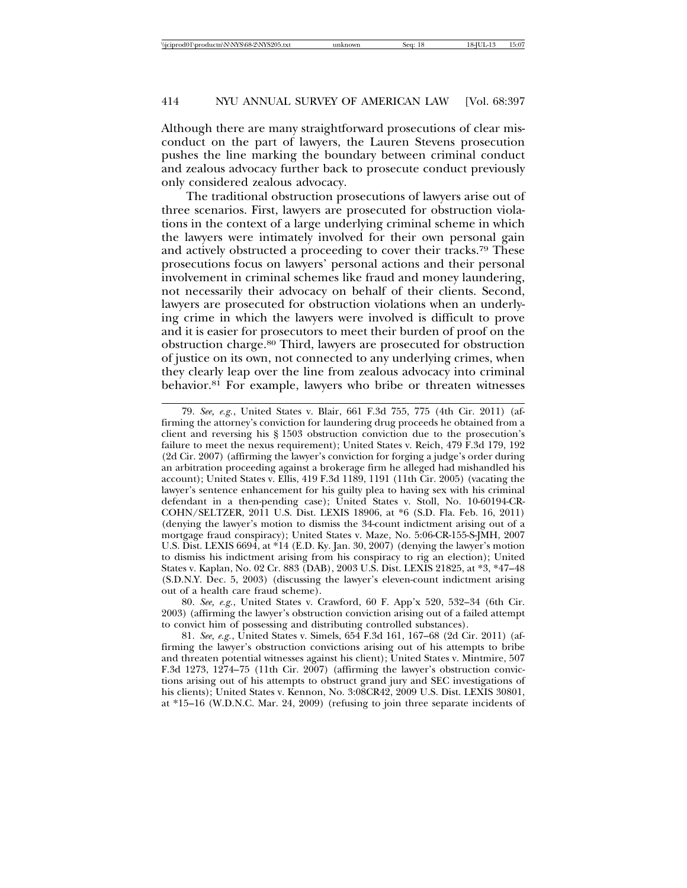Although there are many straightforward prosecutions of clear misconduct on the part of lawyers, the Lauren Stevens prosecution pushes the line marking the boundary between criminal conduct and zealous advocacy further back to prosecute conduct previously only considered zealous advocacy.

The traditional obstruction prosecutions of lawyers arise out of three scenarios. First, lawyers are prosecuted for obstruction violations in the context of a large underlying criminal scheme in which the lawyers were intimately involved for their own personal gain and actively obstructed a proceeding to cover their tracks.79 These prosecutions focus on lawyers' personal actions and their personal involvement in criminal schemes like fraud and money laundering, not necessarily their advocacy on behalf of their clients. Second, lawyers are prosecuted for obstruction violations when an underlying crime in which the lawyers were involved is difficult to prove and it is easier for prosecutors to meet their burden of proof on the obstruction charge.80 Third, lawyers are prosecuted for obstruction of justice on its own, not connected to any underlying crimes, when they clearly leap over the line from zealous advocacy into criminal behavior.81 For example, lawyers who bribe or threaten witnesses

<sup>79.</sup> *See, e.g.*, United States v. Blair, 661 F.3d 755, 775 (4th Cir. 2011) (affirming the attorney's conviction for laundering drug proceeds he obtained from a client and reversing his § 1503 obstruction conviction due to the prosecution's failure to meet the nexus requirement); United States v. Reich, 479 F.3d 179, 192 (2d Cir. 2007) (affirming the lawyer's conviction for forging a judge's order during an arbitration proceeding against a brokerage firm he alleged had mishandled his account); United States v. Ellis, 419 F.3d 1189, 1191 (11th Cir. 2005) (vacating the lawyer's sentence enhancement for his guilty plea to having sex with his criminal defendant in a then-pending case); United States v. Stoll, No. 10-60194-CR-COHN/SELTZER, 2011 U.S. Dist. LEXIS 18906, at \*6 (S.D. Fla. Feb. 16, 2011) (denying the lawyer's motion to dismiss the 34-count indictment arising out of a mortgage fraud conspiracy); United States v. Maze, No. 5:06-CR-155-S-JMH, 2007 U.S. Dist. LEXIS 6694, at \*14 (E.D. Ky. Jan. 30, 2007) (denying the lawyer's motion to dismiss his indictment arising from his conspiracy to rig an election); United States v. Kaplan, No. 02 Cr. 883 (DAB), 2003 U.S. Dist. LEXIS 21825, at \*3, \*47–48 (S.D.N.Y. Dec. 5, 2003) (discussing the lawyer's eleven-count indictment arising out of a health care fraud scheme).

<sup>80.</sup> *See, e.g.*, United States v. Crawford, 60 F. App'x 520, 532–34 (6th Cir. 2003) (affirming the lawyer's obstruction conviction arising out of a failed attempt to convict him of possessing and distributing controlled substances).

<sup>81.</sup> *See, e.g.*, United States v. Simels, 654 F.3d 161, 167–68 (2d Cir. 2011) (affirming the lawyer's obstruction convictions arising out of his attempts to bribe and threaten potential witnesses against his client); United States v. Mintmire, 507 F.3d 1273, 1274–75 (11th Cir. 2007) (affirming the lawyer's obstruction convictions arising out of his attempts to obstruct grand jury and SEC investigations of his clients); United States v. Kennon, No. 3:08CR42, 2009 U.S. Dist. LEXIS 30801, at \*15–16 (W.D.N.C. Mar. 24, 2009) (refusing to join three separate incidents of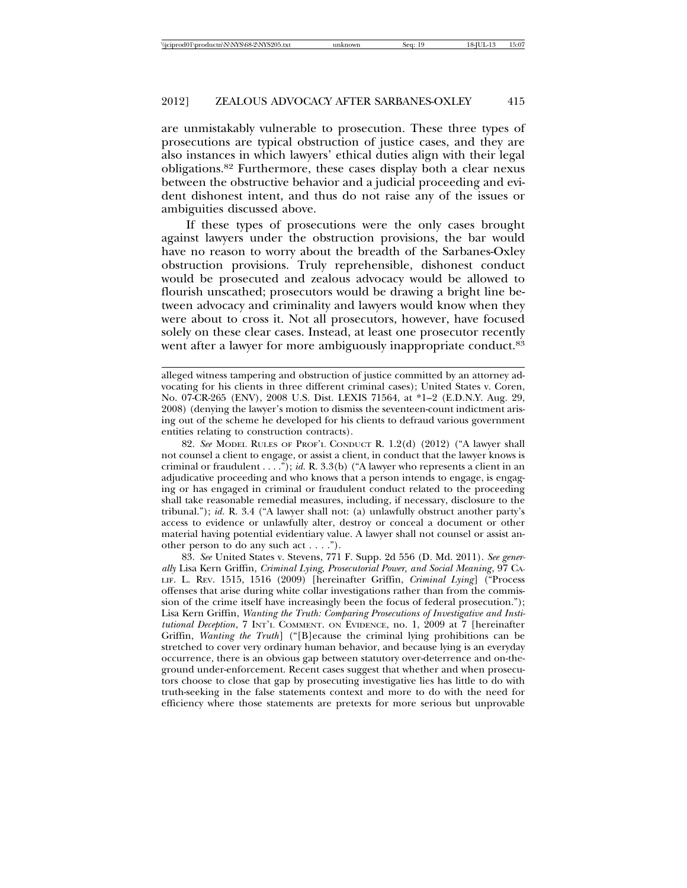are unmistakably vulnerable to prosecution. These three types of prosecutions are typical obstruction of justice cases, and they are also instances in which lawyers' ethical duties align with their legal obligations.82 Furthermore, these cases display both a clear nexus between the obstructive behavior and a judicial proceeding and evident dishonest intent, and thus do not raise any of the issues or ambiguities discussed above.

If these types of prosecutions were the only cases brought against lawyers under the obstruction provisions, the bar would have no reason to worry about the breadth of the Sarbanes-Oxley obstruction provisions. Truly reprehensible, dishonest conduct would be prosecuted and zealous advocacy would be allowed to flourish unscathed; prosecutors would be drawing a bright line between advocacy and criminality and lawyers would know when they were about to cross it. Not all prosecutors, however, have focused solely on these clear cases. Instead, at least one prosecutor recently went after a lawyer for more ambiguously inappropriate conduct.<sup>83</sup>

82. *See* MODEL RULES OF PROF'L CONDUCT R. 1.2(d) (2012) ("A lawyer shall not counsel a client to engage, or assist a client, in conduct that the lawyer knows is criminal or fraudulent . . . ."); *id.* R. 3.3(b) ("A lawyer who represents a client in an adjudicative proceeding and who knows that a person intends to engage, is engaging or has engaged in criminal or fraudulent conduct related to the proceeding shall take reasonable remedial measures, including, if necessary, disclosure to the tribunal."); *id.* R. 3.4 ("A lawyer shall not: (a) unlawfully obstruct another party's access to evidence or unlawfully alter, destroy or conceal a document or other material having potential evidentiary value. A lawyer shall not counsel or assist another person to do any such act . . . .").

83. *See* United States v. Stevens, 771 F. Supp. 2d 556 (D. Md. 2011). *See generally* Lisa Kern Griffin, *Criminal Lying, Prosecutorial Power, and Social Meaning*, 97 CA-LIF. L. REV. 1515, 1516 (2009) [hereinafter Griffin, *Criminal Lying*] ("Process offenses that arise during white collar investigations rather than from the commission of the crime itself have increasingly been the focus of federal prosecution."); Lisa Kern Griffin, *Wanting the Truth: Comparing Prosecutions of Investigative and Institutional Deception*, 7 INT'L COMMENT. ON EVIDENCE, no. 1, 2009 at 7 [hereinafter Griffin, *Wanting the Truth*] ("[B]ecause the criminal lying prohibitions can be stretched to cover very ordinary human behavior, and because lying is an everyday occurrence, there is an obvious gap between statutory over-deterrence and on-theground under-enforcement. Recent cases suggest that whether and when prosecutors choose to close that gap by prosecuting investigative lies has little to do with truth-seeking in the false statements context and more to do with the need for efficiency where those statements are pretexts for more serious but unprovable

alleged witness tampering and obstruction of justice committed by an attorney advocating for his clients in three different criminal cases); United States v. Coren, No. 07-CR-265 (ENV), 2008 U.S. Dist. LEXIS 71564, at \*1–2 (E.D.N.Y. Aug. 29, 2008) (denying the lawyer's motion to dismiss the seventeen-count indictment arising out of the scheme he developed for his clients to defraud various government entities relating to construction contracts).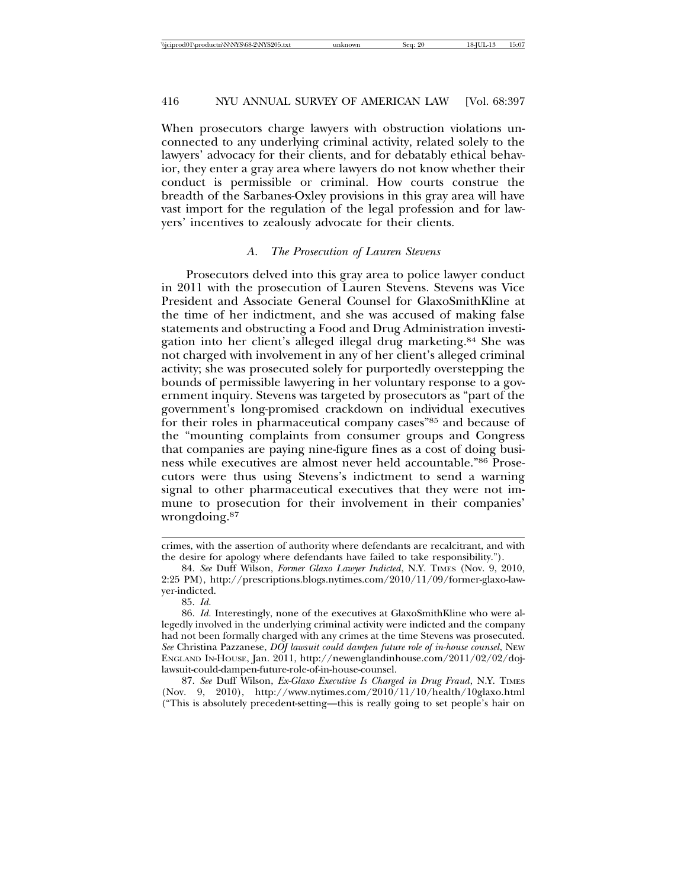When prosecutors charge lawyers with obstruction violations unconnected to any underlying criminal activity, related solely to the lawyers' advocacy for their clients, and for debatably ethical behavior, they enter a gray area where lawyers do not know whether their conduct is permissible or criminal. How courts construe the breadth of the Sarbanes-Oxley provisions in this gray area will have vast import for the regulation of the legal profession and for lawyers' incentives to zealously advocate for their clients.

#### *A. The Prosecution of Lauren Stevens*

Prosecutors delved into this gray area to police lawyer conduct in 2011 with the prosecution of Lauren Stevens. Stevens was Vice President and Associate General Counsel for GlaxoSmithKline at the time of her indictment, and she was accused of making false statements and obstructing a Food and Drug Administration investigation into her client's alleged illegal drug marketing.84 She was not charged with involvement in any of her client's alleged criminal activity; she was prosecuted solely for purportedly overstepping the bounds of permissible lawyering in her voluntary response to a government inquiry. Stevens was targeted by prosecutors as "part of the government's long-promised crackdown on individual executives for their roles in pharmaceutical company cases"85 and because of the "mounting complaints from consumer groups and Congress that companies are paying nine-figure fines as a cost of doing business while executives are almost never held accountable."86 Prosecutors were thus using Stevens's indictment to send a warning signal to other pharmaceutical executives that they were not immune to prosecution for their involvement in their companies' wrongdoing.87

crimes, with the assertion of authority where defendants are recalcitrant, and with the desire for apology where defendants have failed to take responsibility.").

<sup>84.</sup> *See* Duff Wilson, *Former Glaxo Lawyer Indicted*, N.Y. TIMES (Nov. 9, 2010, 2:25 PM), http://prescriptions.blogs.nytimes.com/2010/11/09/former-glaxo-lawyer-indicted.

<sup>85.</sup> *Id.*

<sup>86.</sup> *Id.* Interestingly, none of the executives at GlaxoSmithKline who were allegedly involved in the underlying criminal activity were indicted and the company had not been formally charged with any crimes at the time Stevens was prosecuted. *See* Christina Pazzanese, *DOJ lawsuit could dampen future role of in-house counsel*, NEW ENGLAND IN-HOUSE, Jan. 2011, http://newenglandinhouse.com/2011/02/02/dojlawsuit-could-dampen-future-role-of-in-house-counsel.

<sup>87.</sup> *See* Duff Wilson, *Ex-Glaxo Executive Is Charged in Drug Fraud*, N.Y. TIMES (Nov. 9, 2010), http://www.nytimes.com/2010/11/10/health/10glaxo.html ("This is absolutely precedent-setting—this is really going to set people's hair on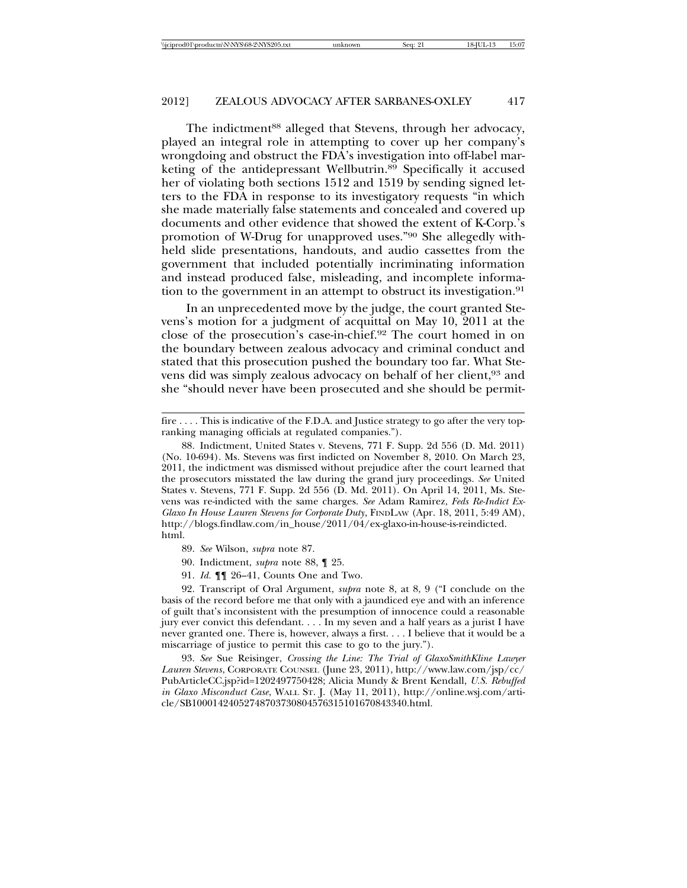The indictment<sup>88</sup> alleged that Stevens, through her advocacy, played an integral role in attempting to cover up her company's wrongdoing and obstruct the FDA's investigation into off-label marketing of the antidepressant Wellbutrin.89 Specifically it accused her of violating both sections 1512 and 1519 by sending signed letters to the FDA in response to its investigatory requests "in which she made materially false statements and concealed and covered up documents and other evidence that showed the extent of K-Corp.'s promotion of W-Drug for unapproved uses."90 She allegedly withheld slide presentations, handouts, and audio cassettes from the government that included potentially incriminating information and instead produced false, misleading, and incomplete information to the government in an attempt to obstruct its investigation.<sup>91</sup>

In an unprecedented move by the judge, the court granted Stevens's motion for a judgment of acquittal on May 10, 2011 at the close of the prosecution's case-in-chief.92 The court homed in on the boundary between zealous advocacy and criminal conduct and stated that this prosecution pushed the boundary too far. What Stevens did was simply zealous advocacy on behalf of her client,<sup>93</sup> and she "should never have been prosecuted and she should be permit-

- 89. *See* Wilson, *supra* note 87.
- 90. Indictment, *supra* note 88, ¶ 25.
- 91. *Id.* ¶¶ 26–41, Counts One and Two.

92. Transcript of Oral Argument, *supra* note 8, at 8, 9 ("I conclude on the basis of the record before me that only with a jaundiced eye and with an inference of guilt that's inconsistent with the presumption of innocence could a reasonable jury ever convict this defendant. . . . In my seven and a half years as a jurist I have never granted one. There is, however, always a first. . . . I believe that it would be a miscarriage of justice to permit this case to go to the jury.").

93. *See* Sue Reisinger, *Crossing the Line: The Trial of GlaxoSmithKline Lawyer Lauren Stevens*, CORPORATE COUNSEL (June 23, 2011), http://www.law.com/jsp/cc/ PubArticleCC.jsp?id=1202497750428; Alicia Mundy & Brent Kendall, *U.S. Rebuffed in Glaxo Misconduct Case*, WALL ST. J. (May 11, 2011), http://online.wsj.com/article/SB10001424052748703730804576315101670843340.html.

fire . . . . This is indicative of the F.D.A. and Justice strategy to go after the very topranking managing officials at regulated companies.").

<sup>88.</sup> Indictment, United States v. Stevens, 771 F. Supp. 2d 556 (D. Md. 2011) (No. 10-694). Ms. Stevens was first indicted on November 8, 2010. On March 23, 2011, the indictment was dismissed without prejudice after the court learned that the prosecutors misstated the law during the grand jury proceedings. *See* United States v. Stevens, 771 F. Supp. 2d 556 (D. Md. 2011). On April 14, 2011, Ms. Stevens was re-indicted with the same charges. *See* Adam Ramirez, *Feds Re-Indict Ex-Glaxo In House Lauren Stevens for Corporate Duty*, FINDLAW (Apr. 18, 2011, 5:49 AM), http://blogs.findlaw.com/in\_house/2011/04/ex-glaxo-in-house-is-reindicted. html.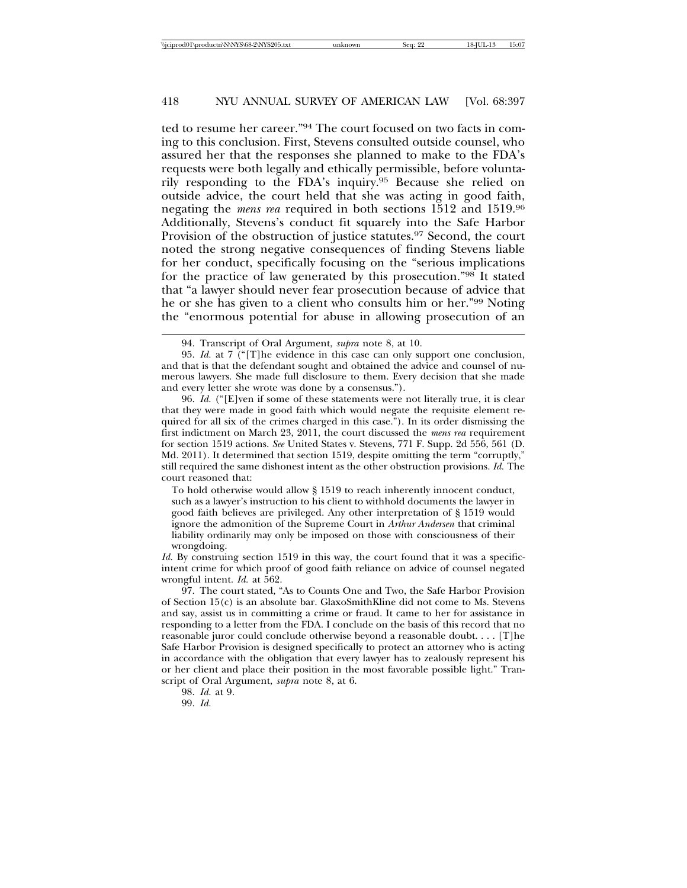ted to resume her career."94 The court focused on two facts in coming to this conclusion. First, Stevens consulted outside counsel, who assured her that the responses she planned to make to the FDA's requests were both legally and ethically permissible, before voluntarily responding to the FDA's inquiry.95 Because she relied on outside advice, the court held that she was acting in good faith, negating the *mens rea* required in both sections 1512 and 1519.96 Additionally, Stevens's conduct fit squarely into the Safe Harbor Provision of the obstruction of justice statutes.97 Second, the court noted the strong negative consequences of finding Stevens liable for her conduct, specifically focusing on the "serious implications for the practice of law generated by this prosecution."98 It stated that "a lawyer should never fear prosecution because of advice that he or she has given to a client who consults him or her."99 Noting the "enormous potential for abuse in allowing prosecution of an

96. *Id.* ("[E]ven if some of these statements were not literally true, it is clear that they were made in good faith which would negate the requisite element required for all six of the crimes charged in this case."). In its order dismissing the first indictment on March 23, 2011, the court discussed the *mens rea* requirement for section 1519 actions. *See* United States v. Stevens, 771 F. Supp. 2d 556, 561 (D. Md. 2011). It determined that section 1519, despite omitting the term "corruptly," still required the same dishonest intent as the other obstruction provisions. *Id.* The court reasoned that:

To hold otherwise would allow § 1519 to reach inherently innocent conduct, such as a lawyer's instruction to his client to withhold documents the lawyer in good faith believes are privileged. Any other interpretation of § 1519 would ignore the admonition of the Supreme Court in *Arthur Andersen* that criminal liability ordinarily may only be imposed on those with consciousness of their wrongdoing.

*Id.* By construing section 1519 in this way, the court found that it was a specificintent crime for which proof of good faith reliance on advice of counsel negated wrongful intent. *Id.* at 562.

97. The court stated, "As to Counts One and Two, the Safe Harbor Provision of Section 15(c) is an absolute bar. GlaxoSmithKline did not come to Ms. Stevens and say, assist us in committing a crime or fraud. It came to her for assistance in responding to a letter from the FDA. I conclude on the basis of this record that no reasonable juror could conclude otherwise beyond a reasonable doubt. . . . [T]he Safe Harbor Provision is designed specifically to protect an attorney who is acting in accordance with the obligation that every lawyer has to zealously represent his or her client and place their position in the most favorable possible light." Transcript of Oral Argument, *supra* note 8, at 6.

98. *Id.* at 9.

99. *Id.*

<sup>94.</sup> Transcript of Oral Argument, *supra* note 8, at 10.

<sup>95.</sup> *Id.* at 7 ("[T]he evidence in this case can only support one conclusion, and that is that the defendant sought and obtained the advice and counsel of numerous lawyers. She made full disclosure to them. Every decision that she made and every letter she wrote was done by a consensus.").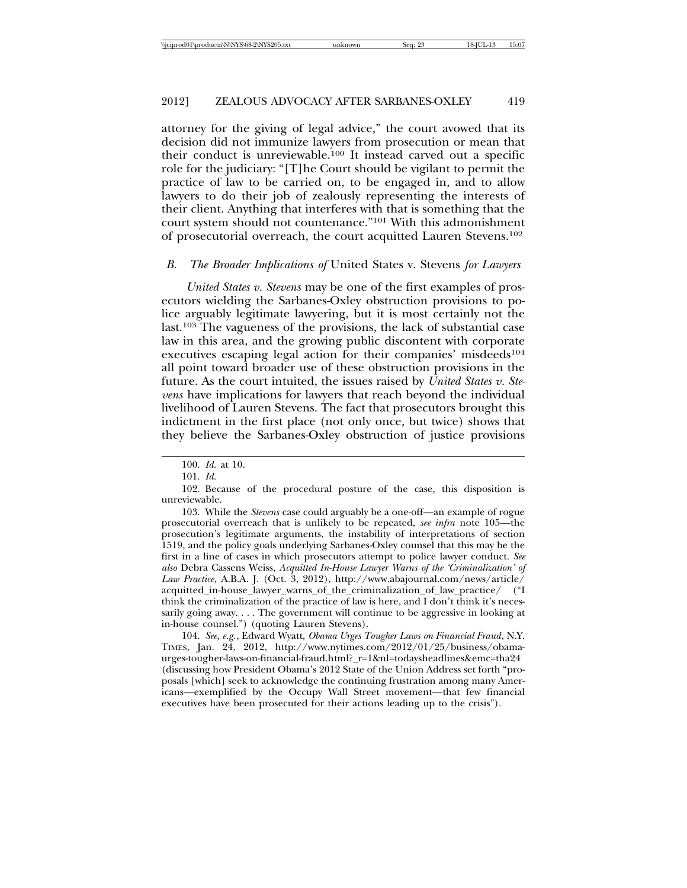attorney for the giving of legal advice," the court avowed that its decision did not immunize lawyers from prosecution or mean that their conduct is unreviewable.100 It instead carved out a specific role for the judiciary: "[T]he Court should be vigilant to permit the practice of law to be carried on, to be engaged in, and to allow lawyers to do their job of zealously representing the interests of their client. Anything that interferes with that is something that the court system should not countenance."101 With this admonishment of prosecutorial overreach, the court acquitted Lauren Stevens.102

# *B. The Broader Implications of* United States v. Stevens *for Lawyers*

*United States v. Stevens* may be one of the first examples of prosecutors wielding the Sarbanes-Oxley obstruction provisions to police arguably legitimate lawyering, but it is most certainly not the last.103 The vagueness of the provisions, the lack of substantial case law in this area, and the growing public discontent with corporate executives escaping legal action for their companies' misdeeds<sup>104</sup> all point toward broader use of these obstruction provisions in the future. As the court intuited, the issues raised by *United States v. Stevens* have implications for lawyers that reach beyond the individual livelihood of Lauren Stevens. The fact that prosecutors brought this indictment in the first place (not only once, but twice) shows that they believe the Sarbanes-Oxley obstruction of justice provisions

103. While the *Stevens* case could arguably be a one-off—an example of rogue prosecutorial overreach that is unlikely to be repeated, *see infra* note 105—the prosecution's legitimate arguments, the instability of interpretations of section 1519, and the policy goals underlying Sarbanes-Oxley counsel that this may be the first in a line of cases in which prosecutors attempt to police lawyer conduct. *See also* Debra Cassens Weiss, *Acquitted In-House Lawyer Warns of the 'Criminalization' of Law Practice*, A.B.A. J. (Oct. 3, 2012), http://www.abajournal.com/news/article/ acquitted\_in-house\_lawyer\_warns\_of\_the\_criminalization\_of\_law\_practice/ ("I think the criminalization of the practice of law is here, and I don't think it's necessarily going away. . . . The government will continue to be aggressive in looking at in-house counsel.") (quoting Lauren Stevens).

104. *See, e.g.*, Edward Wyatt, *Obama Urges Tougher Laws on Financial Fraud*, N.Y. TIMES, Jan. 24, 2012, http://www.nytimes.com/2012/01/25/business/obamaurges-tougher-laws-on-financial-fraud.html?\_r=1&nl=todaysheadlines&emc=tha24 (discussing how President Obama's 2012 State of the Union Address set forth "proposals [which] seek to acknowledge the continuing frustration among many Americans—exemplified by the Occupy Wall Street movement—that few financial executives have been prosecuted for their actions leading up to the crisis").

<sup>100.</sup> *Id.* at 10.

<sup>101.</sup> *Id.*

<sup>102.</sup> Because of the procedural posture of the case, this disposition is unreviewable.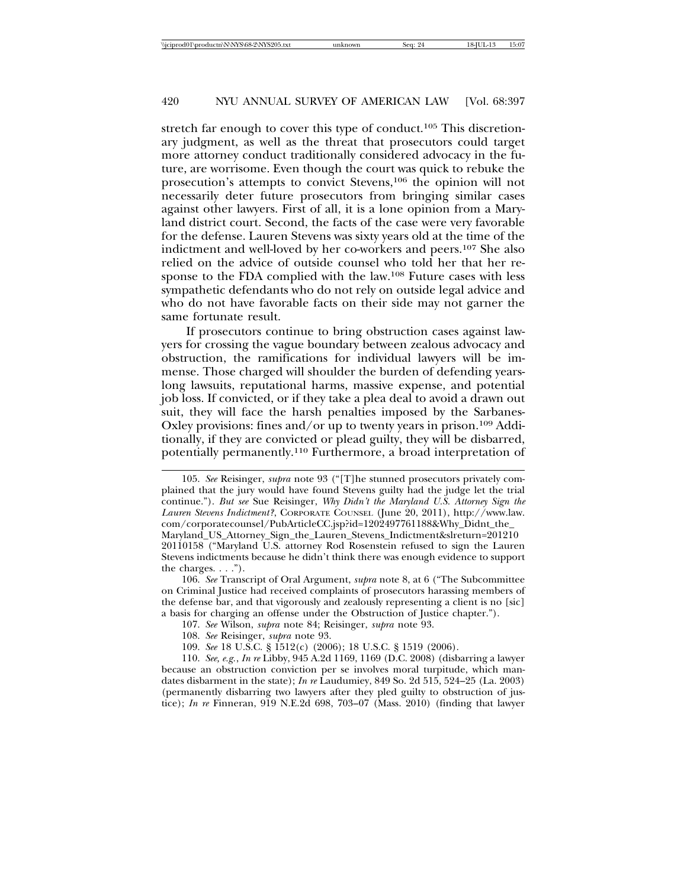stretch far enough to cover this type of conduct.<sup>105</sup> This discretionary judgment, as well as the threat that prosecutors could target more attorney conduct traditionally considered advocacy in the future, are worrisome. Even though the court was quick to rebuke the prosecution's attempts to convict Stevens,106 the opinion will not necessarily deter future prosecutors from bringing similar cases against other lawyers. First of all, it is a lone opinion from a Maryland district court. Second, the facts of the case were very favorable for the defense. Lauren Stevens was sixty years old at the time of the indictment and well-loved by her co-workers and peers.107 She also relied on the advice of outside counsel who told her that her response to the FDA complied with the law.108 Future cases with less sympathetic defendants who do not rely on outside legal advice and who do not have favorable facts on their side may not garner the same fortunate result.

If prosecutors continue to bring obstruction cases against lawyers for crossing the vague boundary between zealous advocacy and obstruction, the ramifications for individual lawyers will be immense. Those charged will shoulder the burden of defending yearslong lawsuits, reputational harms, massive expense, and potential job loss. If convicted, or if they take a plea deal to avoid a drawn out suit, they will face the harsh penalties imposed by the Sarbanes-Oxley provisions: fines and/or up to twenty years in prison.<sup>109</sup> Additionally, if they are convicted or plead guilty, they will be disbarred, potentially permanently.110 Furthermore, a broad interpretation of

<sup>105.</sup> *See* Reisinger, *supra* note 93 ("[T]he stunned prosecutors privately complained that the jury would have found Stevens guilty had the judge let the trial continue."). *But see* Sue Reisinger, *Why Didn't the Maryland U.S. Attorney Sign the Lauren Stevens Indictment?*, CORPORATE COUNSEL (June 20, 2011), http://www.law. com/corporatecounsel/PubArticleCC.jsp?id=1202497761188&Why\_Didnt\_the\_ Maryland\_US\_Attorney\_Sign\_the\_Lauren\_Stevens\_Indictment&slreturn=201210 20110158 ("Maryland U.S. attorney Rod Rosenstein refused to sign the Lauren Stevens indictments because he didn't think there was enough evidence to support the charges. . . .").

<sup>106.</sup> *See* Transcript of Oral Argument, *supra* note 8, at 6 ("The Subcommittee on Criminal Justice had received complaints of prosecutors harassing members of the defense bar, and that vigorously and zealously representing a client is no [sic] a basis for charging an offense under the Obstruction of Justice chapter.").

<sup>107.</sup> *See* Wilson, *supra* note 84; Reisinger, *supra* note 93.

<sup>108.</sup> *See* Reisinger, *supra* note 93.

<sup>109.</sup> *See* 18 U.S.C. § 1512(c) (2006); 18 U.S.C. § 1519 (2006).

<sup>110.</sup> *See, e.g.*, *In re* Libby, 945 A.2d 1169, 1169 (D.C. 2008) (disbarring a lawyer because an obstruction conviction per se involves moral turpitude, which mandates disbarment in the state); *In re* Laudumiey, 849 So. 2d 515, 524–25 (La. 2003) (permanently disbarring two lawyers after they pled guilty to obstruction of justice); *In re* Finneran, 919 N.E.2d 698, 703–07 (Mass. 2010) (finding that lawyer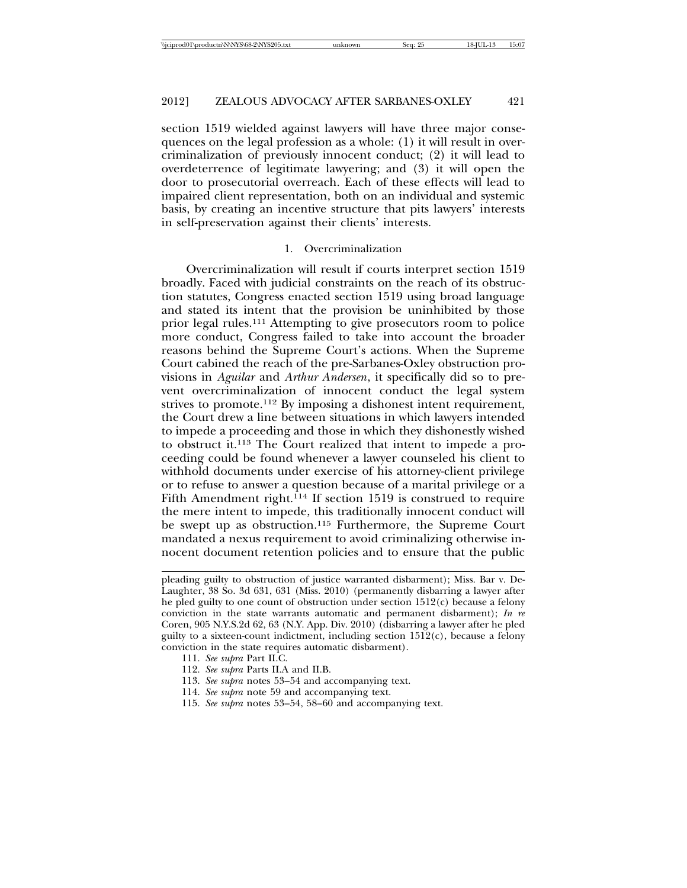section 1519 wielded against lawyers will have three major consequences on the legal profession as a whole: (1) it will result in overcriminalization of previously innocent conduct; (2) it will lead to overdeterrence of legitimate lawyering; and (3) it will open the door to prosecutorial overreach. Each of these effects will lead to impaired client representation, both on an individual and systemic basis, by creating an incentive structure that pits lawyers' interests in self-preservation against their clients' interests.

#### 1. Overcriminalization

Overcriminalization will result if courts interpret section 1519 broadly. Faced with judicial constraints on the reach of its obstruction statutes, Congress enacted section 1519 using broad language and stated its intent that the provision be uninhibited by those prior legal rules.111 Attempting to give prosecutors room to police more conduct, Congress failed to take into account the broader reasons behind the Supreme Court's actions. When the Supreme Court cabined the reach of the pre-Sarbanes-Oxley obstruction provisions in *Aguilar* and *Arthur Andersen*, it specifically did so to prevent overcriminalization of innocent conduct the legal system strives to promote.112 By imposing a dishonest intent requirement, the Court drew a line between situations in which lawyers intended to impede a proceeding and those in which they dishonestly wished to obstruct it.113 The Court realized that intent to impede a proceeding could be found whenever a lawyer counseled his client to withhold documents under exercise of his attorney-client privilege or to refuse to answer a question because of a marital privilege or a Fifth Amendment right.<sup>114</sup> If section 1519 is construed to require the mere intent to impede, this traditionally innocent conduct will be swept up as obstruction.115 Furthermore, the Supreme Court mandated a nexus requirement to avoid criminalizing otherwise innocent document retention policies and to ensure that the public

- 111. *See supra* Part II.C.
- 112. *See supra* Parts II.A and II.B.
- 113. *See supra* notes 53–54 and accompanying text.
- 114. *See supra* note 59 and accompanying text.
- 115. *See supra* notes 53–54, 58–60 and accompanying text.

pleading guilty to obstruction of justice warranted disbarment); Miss. Bar v. De-Laughter, 38 So. 3d 631, 631 (Miss. 2010) (permanently disbarring a lawyer after he pled guilty to one count of obstruction under section 1512(c) because a felony conviction in the state warrants automatic and permanent disbarment); *In re* Coren, 905 N.Y.S.2d 62, 63 (N.Y. App. Div. 2010) (disbarring a lawyer after he pled guilty to a sixteen-count indictment, including section  $1512(c)$ , because a felony conviction in the state requires automatic disbarment).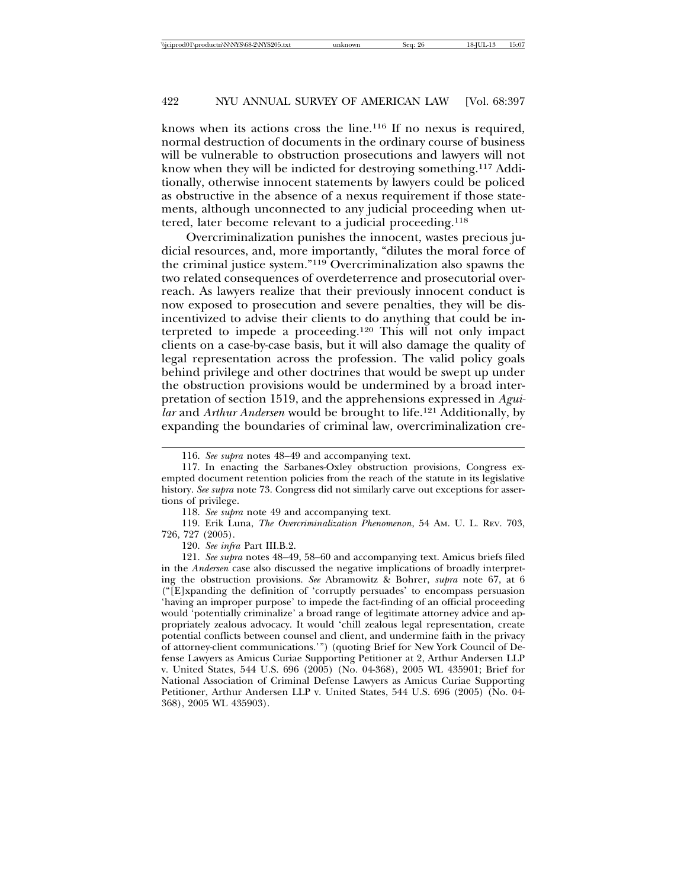knows when its actions cross the line.116 If no nexus is required, normal destruction of documents in the ordinary course of business will be vulnerable to obstruction prosecutions and lawyers will not know when they will be indicted for destroying something.117 Additionally, otherwise innocent statements by lawyers could be policed as obstructive in the absence of a nexus requirement if those statements, although unconnected to any judicial proceeding when uttered, later become relevant to a judicial proceeding.118

Overcriminalization punishes the innocent, wastes precious judicial resources, and, more importantly, "dilutes the moral force of the criminal justice system."119 Overcriminalization also spawns the two related consequences of overdeterrence and prosecutorial overreach. As lawyers realize that their previously innocent conduct is now exposed to prosecution and severe penalties, they will be disincentivized to advise their clients to do anything that could be interpreted to impede a proceeding.120 This will not only impact clients on a case-by-case basis, but it will also damage the quality of legal representation across the profession. The valid policy goals behind privilege and other doctrines that would be swept up under the obstruction provisions would be undermined by a broad interpretation of section 1519, and the apprehensions expressed in *Aguilar* and *Arthur Andersen* would be brought to life.121 Additionally, by expanding the boundaries of criminal law, overcriminalization cre-

<sup>116.</sup> *See supra* notes 48–49 and accompanying text.

<sup>117.</sup> In enacting the Sarbanes-Oxley obstruction provisions, Congress exempted document retention policies from the reach of the statute in its legislative history. *See supra* note 73. Congress did not similarly carve out exceptions for assertions of privilege.

<sup>118.</sup> *See supra* note 49 and accompanying text.

<sup>119.</sup> Erik Luna, *The Overcriminalization Phenomenon*, 54 AM. U. L. REV. 703, 726, 727 (2005).

<sup>120.</sup> *See infra* Part III.B.2.

<sup>121.</sup> *See supra* notes 48–49, 58–60 and accompanying text. Amicus briefs filed in the *Andersen* case also discussed the negative implications of broadly interpreting the obstruction provisions. *See* Abramowitz & Bohrer, *supra* note 67, at 6 ("[E]xpanding the definition of 'corruptly persuades' to encompass persuasion 'having an improper purpose' to impede the fact-finding of an official proceeding would 'potentially criminalize' a broad range of legitimate attorney advice and appropriately zealous advocacy. It would 'chill zealous legal representation, create potential conflicts between counsel and client, and undermine faith in the privacy of attorney-client communications.'") (quoting Brief for New York Council of Defense Lawyers as Amicus Curiae Supporting Petitioner at 2, Arthur Andersen LLP v. United States, 544 U.S. 696 (2005) (No. 04-368), 2005 WL 435901; Brief for National Association of Criminal Defense Lawyers as Amicus Curiae Supporting Petitioner, Arthur Andersen LLP v. United States, 544 U.S. 696 (2005) (No. 04- 368), 2005 WL 435903).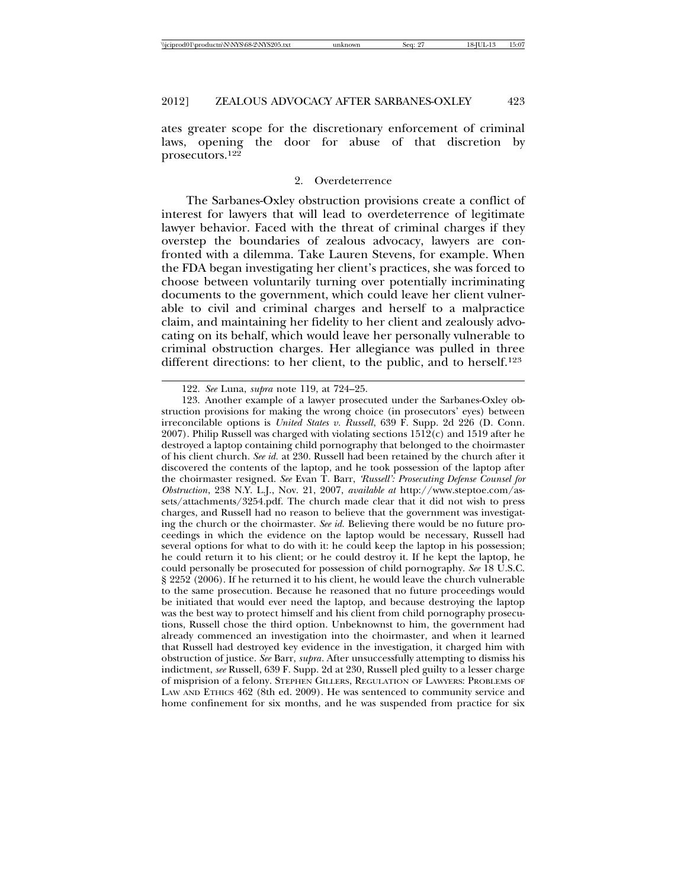ates greater scope for the discretionary enforcement of criminal laws, opening the door for abuse of that discretion by prosecutors.122

#### 2. Overdeterrence

The Sarbanes-Oxley obstruction provisions create a conflict of interest for lawyers that will lead to overdeterrence of legitimate lawyer behavior. Faced with the threat of criminal charges if they overstep the boundaries of zealous advocacy, lawyers are confronted with a dilemma. Take Lauren Stevens, for example. When the FDA began investigating her client's practices, she was forced to choose between voluntarily turning over potentially incriminating documents to the government, which could leave her client vulnerable to civil and criminal charges and herself to a malpractice claim, and maintaining her fidelity to her client and zealously advocating on its behalf, which would leave her personally vulnerable to criminal obstruction charges. Her allegiance was pulled in three different directions: to her client, to the public, and to herself.<sup>123</sup>

<sup>122.</sup> *See* Luna, *supra* note 119, at 724–25.

<sup>123.</sup> Another example of a lawyer prosecuted under the Sarbanes-Oxley obstruction provisions for making the wrong choice (in prosecutors' eyes) between irreconcilable options is *United States v. Russell*, 639 F. Supp. 2d 226 (D. Conn.  $2007$ ). Philip Russell was charged with violating sections  $1512(c)$  and  $1519$  after he destroyed a laptop containing child pornography that belonged to the choirmaster of his client church. *See id.* at 230. Russell had been retained by the church after it discovered the contents of the laptop, and he took possession of the laptop after the choirmaster resigned. *See* Evan T. Barr, *'Russell': Prosecuting Defense Counsel for Obstruction*, 238 N.Y. L.J., Nov. 21, 2007, *available at* http://www.steptoe.com/assets/attachments/3254.pdf. The church made clear that it did not wish to press charges, and Russell had no reason to believe that the government was investigating the church or the choirmaster. *See id.* Believing there would be no future proceedings in which the evidence on the laptop would be necessary, Russell had several options for what to do with it: he could keep the laptop in his possession; he could return it to his client; or he could destroy it. If he kept the laptop, he could personally be prosecuted for possession of child pornography. *See* 18 U.S.C. § 2252 (2006). If he returned it to his client, he would leave the church vulnerable to the same prosecution. Because he reasoned that no future proceedings would be initiated that would ever need the laptop, and because destroying the laptop was the best way to protect himself and his client from child pornography prosecutions, Russell chose the third option. Unbeknownst to him, the government had already commenced an investigation into the choirmaster, and when it learned that Russell had destroyed key evidence in the investigation, it charged him with obstruction of justice. *See* Barr, *supra*. After unsuccessfully attempting to dismiss his indictment, *see* Russell, 639 F. Supp. 2d at 230, Russell pled guilty to a lesser charge of misprision of a felony. STEPHEN GILLERS, REGULATION OF LAWYERS: PROBLEMS OF LAW AND ETHICS 462 (8th ed. 2009). He was sentenced to community service and home confinement for six months, and he was suspended from practice for six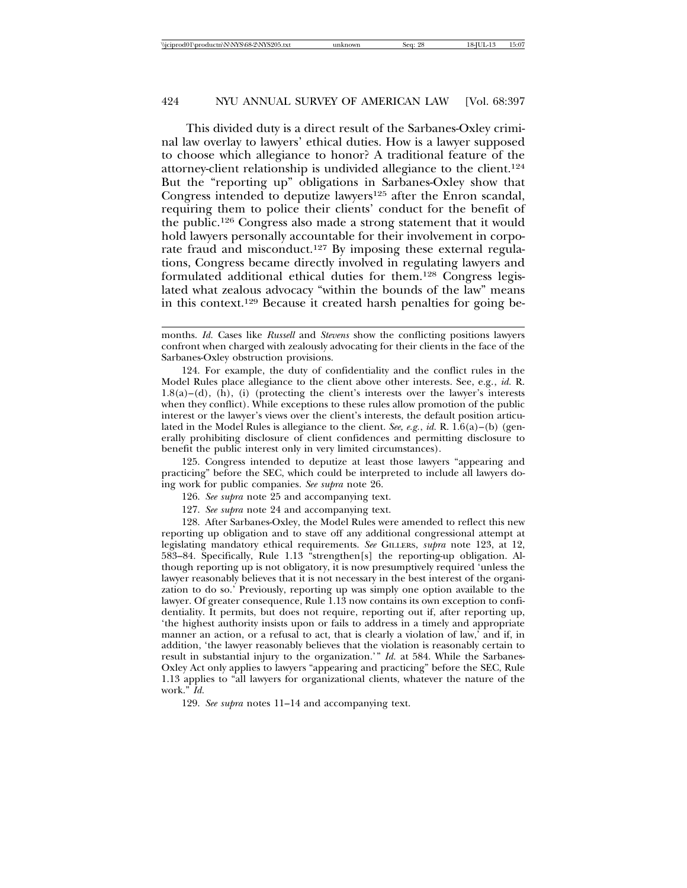This divided duty is a direct result of the Sarbanes-Oxley criminal law overlay to lawyers' ethical duties. How is a lawyer supposed to choose which allegiance to honor? A traditional feature of the attorney-client relationship is undivided allegiance to the client.124 But the "reporting up" obligations in Sarbanes-Oxley show that Congress intended to deputize lawyers<sup>125</sup> after the Enron scandal, requiring them to police their clients' conduct for the benefit of the public.126 Congress also made a strong statement that it would hold lawyers personally accountable for their involvement in corporate fraud and misconduct.<sup>127</sup> By imposing these external regulations, Congress became directly involved in regulating lawyers and formulated additional ethical duties for them.128 Congress legislated what zealous advocacy "within the bounds of the law" means in this context.129 Because it created harsh penalties for going be-

124. For example, the duty of confidentiality and the conflict rules in the Model Rules place allegiance to the client above other interests. See, e.g., *id.* R.  $1.8(a)$ –(d), (h), (i) (protecting the client's interests over the lawyer's interests when they conflict). While exceptions to these rules allow promotion of the public interest or the lawyer's views over the client's interests, the default position articulated in the Model Rules is allegiance to the client. *See, e.g.*, *id.* R. 1.6(a)–(b) (generally prohibiting disclosure of client confidences and permitting disclosure to benefit the public interest only in very limited circumstances).

125. Congress intended to deputize at least those lawyers "appearing and practicing" before the SEC, which could be interpreted to include all lawyers doing work for public companies. *See supra* note 26.

- 126. *See supra* note 25 and accompanying text.
- 127. *See supra* note 24 and accompanying text.

128. After Sarbanes-Oxley, the Model Rules were amended to reflect this new reporting up obligation and to stave off any additional congressional attempt at legislating mandatory ethical requirements. *See* GILLERS, *supra* note 123, at 12, 583–84. Specifically, Rule 1.13 "strengthen[s] the reporting-up obligation. Although reporting up is not obligatory, it is now presumptively required 'unless the lawyer reasonably believes that it is not necessary in the best interest of the organization to do so.' Previously, reporting up was simply one option available to the lawyer. Of greater consequence, Rule 1.13 now contains its own exception to confidentiality. It permits, but does not require, reporting out if, after reporting up, 'the highest authority insists upon or fails to address in a timely and appropriate manner an action, or a refusal to act, that is clearly a violation of law,' and if, in addition, 'the lawyer reasonably believes that the violation is reasonably certain to result in substantial injury to the organization.'" *Id.* at 584. While the Sarbanes-Oxley Act only applies to lawyers "appearing and practicing" before the SEC, Rule 1.13 applies to "all lawyers for organizational clients, whatever the nature of the work." *Id.*

129. *See supra* notes 11–14 and accompanying text.

months. *Id.* Cases like *Russell* and *Stevens* show the conflicting positions lawyers confront when charged with zealously advocating for their clients in the face of the Sarbanes-Oxley obstruction provisions.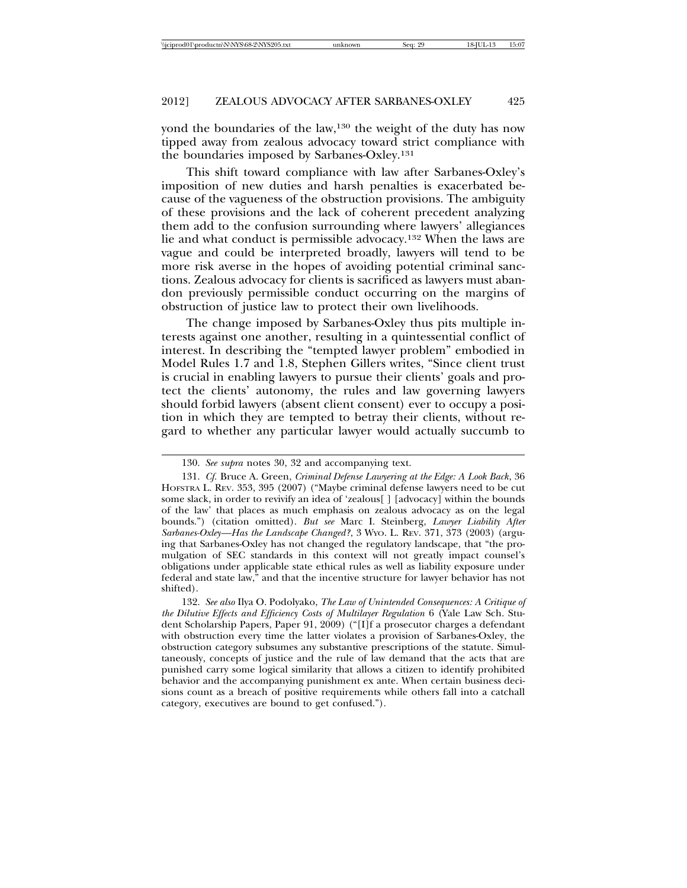yond the boundaries of the law,130 the weight of the duty has now tipped away from zealous advocacy toward strict compliance with the boundaries imposed by Sarbanes-Oxley.131

This shift toward compliance with law after Sarbanes-Oxley's imposition of new duties and harsh penalties is exacerbated because of the vagueness of the obstruction provisions. The ambiguity of these provisions and the lack of coherent precedent analyzing them add to the confusion surrounding where lawyers' allegiances lie and what conduct is permissible advocacy.132 When the laws are vague and could be interpreted broadly, lawyers will tend to be more risk averse in the hopes of avoiding potential criminal sanctions. Zealous advocacy for clients is sacrificed as lawyers must abandon previously permissible conduct occurring on the margins of obstruction of justice law to protect their own livelihoods.

The change imposed by Sarbanes-Oxley thus pits multiple interests against one another, resulting in a quintessential conflict of interest. In describing the "tempted lawyer problem" embodied in Model Rules 1.7 and 1.8, Stephen Gillers writes, "Since client trust is crucial in enabling lawyers to pursue their clients' goals and protect the clients' autonomy, the rules and law governing lawyers should forbid lawyers (absent client consent) ever to occupy a position in which they are tempted to betray their clients, without regard to whether any particular lawyer would actually succumb to

<sup>130.</sup> *See supra* notes 30, 32 and accompanying text.

<sup>131.</sup> *Cf.* Bruce A. Green, *Criminal Defense Lawyering at the Edge: A Look Back*, 36 HOFSTRA L. REV. 353, 395 (2007) ("Maybe criminal defense lawyers need to be cut some slack, in order to revivify an idea of 'zealous[ ] [advocacy] within the bounds of the law' that places as much emphasis on zealous advocacy as on the legal bounds.") (citation omitted). *But see* Marc I. Steinberg, *Lawyer Liability After Sarbanes-Oxley—Has the Landscape Changed?*, 3 WYO. L. REV. 371, 373 (2003) (arguing that Sarbanes-Oxley has not changed the regulatory landscape, that "the promulgation of SEC standards in this context will not greatly impact counsel's obligations under applicable state ethical rules as well as liability exposure under federal and state law," and that the incentive structure for lawyer behavior has not shifted).

<sup>132.</sup> *See also* Ilya O. Podolyako, *The Law of Unintended Consequences: A Critique of the Dilutive Effects and Efficiency Costs of Multilayer Regulation* 6 (Yale Law Sch. Student Scholarship Papers, Paper 91, 2009) ("[I]f a prosecutor charges a defendant with obstruction every time the latter violates a provision of Sarbanes-Oxley, the obstruction category subsumes any substantive prescriptions of the statute. Simultaneously, concepts of justice and the rule of law demand that the acts that are punished carry some logical similarity that allows a citizen to identify prohibited behavior and the accompanying punishment ex ante. When certain business decisions count as a breach of positive requirements while others fall into a catchall category, executives are bound to get confused.").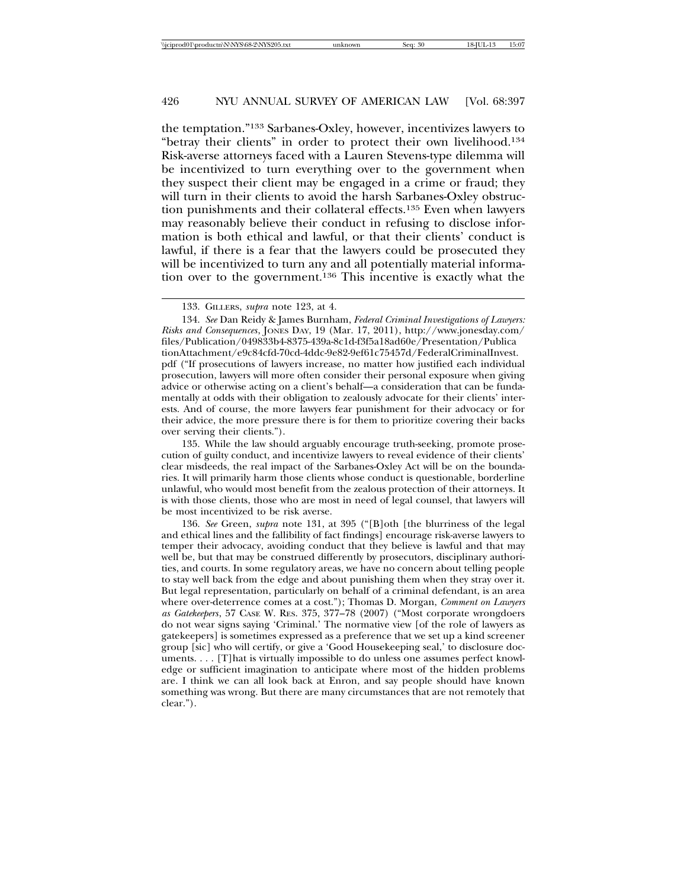the temptation."133 Sarbanes-Oxley, however, incentivizes lawyers to "betray their clients" in order to protect their own livelihood.134 Risk-averse attorneys faced with a Lauren Stevens-type dilemma will be incentivized to turn everything over to the government when they suspect their client may be engaged in a crime or fraud; they will turn in their clients to avoid the harsh Sarbanes-Oxley obstruction punishments and their collateral effects.135 Even when lawyers may reasonably believe their conduct in refusing to disclose information is both ethical and lawful, or that their clients' conduct is lawful, if there is a fear that the lawyers could be prosecuted they will be incentivized to turn any and all potentially material information over to the government.136 This incentive is exactly what the

134. *See* Dan Reidy & James Burnham, *Federal Criminal Investigations of Lawyers: Risks and Consequences*, JONES DAY, 19 (Mar. 17, 2011), http://www.jonesday.com/ files/Publication/049833b4-8375-439a-8c1d-f3f5a18ad60e/Presentation/Publica tionAttachment/e9c84cfd-70cd-4ddc-9e82-9ef61c75457d/FederalCriminalInvest. pdf ("If prosecutions of lawyers increase, no matter how justified each individual prosecution, lawyers will more often consider their personal exposure when giving advice or otherwise acting on a client's behalf—a consideration that can be fundamentally at odds with their obligation to zealously advocate for their clients' interests. And of course, the more lawyers fear punishment for their advocacy or for their advice, the more pressure there is for them to prioritize covering their backs over serving their clients.").

135. While the law should arguably encourage truth-seeking, promote prosecution of guilty conduct, and incentivize lawyers to reveal evidence of their clients' clear misdeeds, the real impact of the Sarbanes-Oxley Act will be on the boundaries. It will primarily harm those clients whose conduct is questionable, borderline unlawful, who would most benefit from the zealous protection of their attorneys. It is with those clients, those who are most in need of legal counsel, that lawyers will be most incentivized to be risk averse.

136. *See* Green, *supra* note 131, at 395 ("[B]oth [the blurriness of the legal and ethical lines and the fallibility of fact findings] encourage risk-averse lawyers to temper their advocacy, avoiding conduct that they believe is lawful and that may well be, but that may be construed differently by prosecutors, disciplinary authorities, and courts. In some regulatory areas, we have no concern about telling people to stay well back from the edge and about punishing them when they stray over it. But legal representation, particularly on behalf of a criminal defendant, is an area where over-deterrence comes at a cost."); Thomas D. Morgan, *Comment on Lawyers as Gatekeepers*, 57 CASE W. RES. 375, 377–78 (2007) ("Most corporate wrongdoers do not wear signs saying 'Criminal.' The normative view [of the role of lawyers as gatekeepers] is sometimes expressed as a preference that we set up a kind screener group [sic] who will certify, or give a 'Good Housekeeping seal,' to disclosure documents. . . . [T]hat is virtually impossible to do unless one assumes perfect knowledge or sufficient imagination to anticipate where most of the hidden problems are. I think we can all look back at Enron, and say people should have known something was wrong. But there are many circumstances that are not remotely that clear.").

<sup>133.</sup> GILLERS, *supra* note 123, at 4.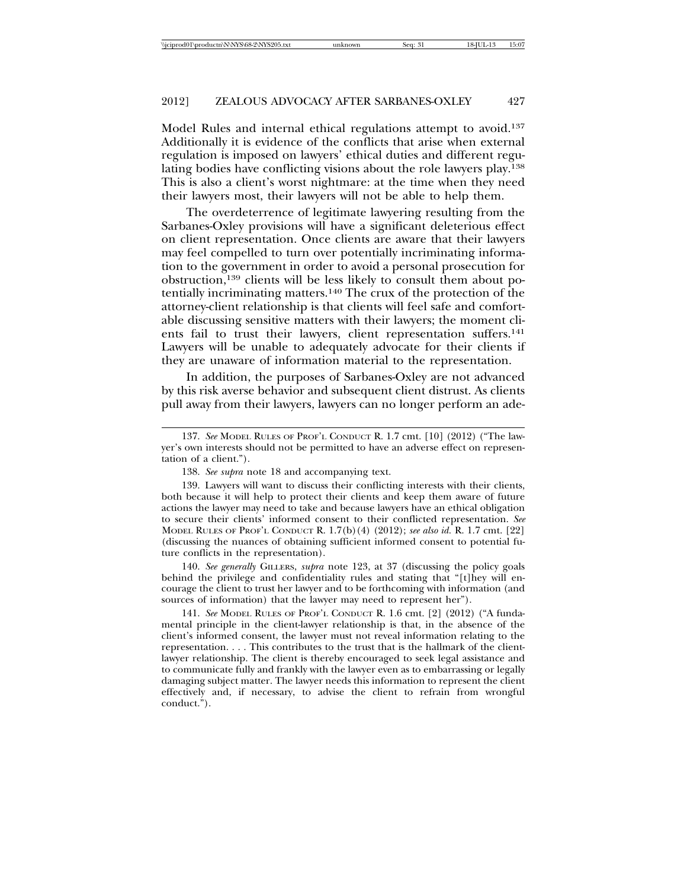Model Rules and internal ethical regulations attempt to avoid.137 Additionally it is evidence of the conflicts that arise when external regulation is imposed on lawyers' ethical duties and different regulating bodies have conflicting visions about the role lawyers play.138 This is also a client's worst nightmare: at the time when they need their lawyers most, their lawyers will not be able to help them.

The overdeterrence of legitimate lawyering resulting from the Sarbanes-Oxley provisions will have a significant deleterious effect on client representation. Once clients are aware that their lawyers may feel compelled to turn over potentially incriminating information to the government in order to avoid a personal prosecution for obstruction,139 clients will be less likely to consult them about potentially incriminating matters.140 The crux of the protection of the attorney-client relationship is that clients will feel safe and comfortable discussing sensitive matters with their lawyers; the moment clients fail to trust their lawyers, client representation suffers.<sup>141</sup> Lawyers will be unable to adequately advocate for their clients if they are unaware of information material to the representation.

In addition, the purposes of Sarbanes-Oxley are not advanced by this risk averse behavior and subsequent client distrust. As clients pull away from their lawyers, lawyers can no longer perform an ade-

140. *See generally* GILLERS, *supra* note 123, at 37 (discussing the policy goals behind the privilege and confidentiality rules and stating that "[t]hey will encourage the client to trust her lawyer and to be forthcoming with information (and sources of information) that the lawyer may need to represent her").

141. *See* MODEL RULES OF PROF'L CONDUCT R. 1.6 cmt. [2] (2012) ("A fundamental principle in the client-lawyer relationship is that, in the absence of the client's informed consent, the lawyer must not reveal information relating to the representation. . . . This contributes to the trust that is the hallmark of the clientlawyer relationship. The client is thereby encouraged to seek legal assistance and to communicate fully and frankly with the lawyer even as to embarrassing or legally damaging subject matter. The lawyer needs this information to represent the client effectively and, if necessary, to advise the client to refrain from wrongful conduct.").

<sup>137.</sup> *See* MODEL RULES OF PROF'L CONDUCT R. 1.7 cmt. [10] (2012) ("The lawyer's own interests should not be permitted to have an adverse effect on representation of a client.").

<sup>138.</sup> *See supra* note 18 and accompanying text.

<sup>139.</sup> Lawyers will want to discuss their conflicting interests with their clients, both because it will help to protect their clients and keep them aware of future actions the lawyer may need to take and because lawyers have an ethical obligation to secure their clients' informed consent to their conflicted representation. *See* MODEL RULES OF PROF'L CONDUCT R. 1.7(b)(4) (2012); *see also id.* R. 1.7 cmt. [22] (discussing the nuances of obtaining sufficient informed consent to potential future conflicts in the representation).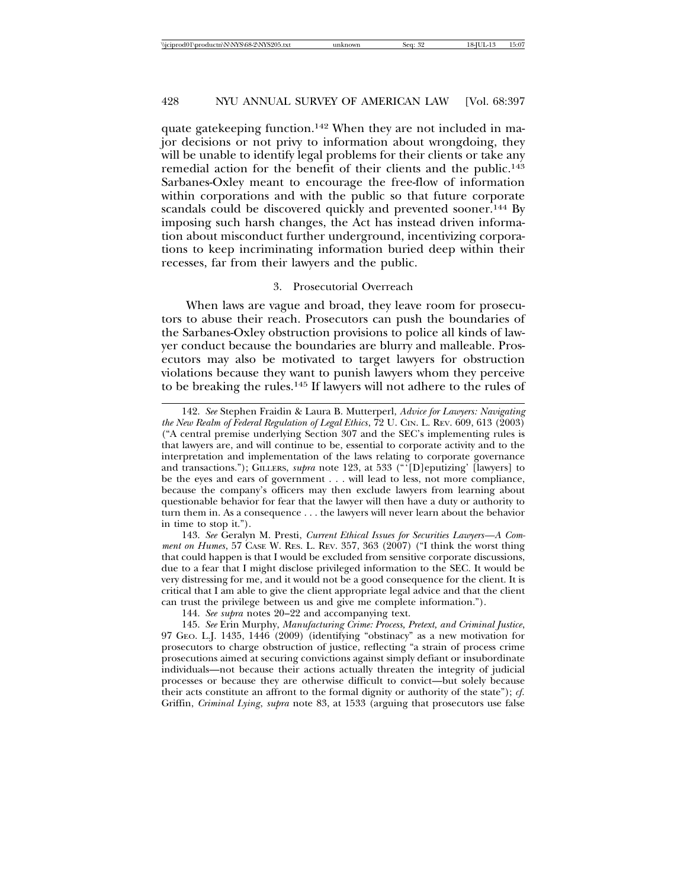quate gatekeeping function.142 When they are not included in major decisions or not privy to information about wrongdoing, they will be unable to identify legal problems for their clients or take any remedial action for the benefit of their clients and the public.143 Sarbanes-Oxley meant to encourage the free-flow of information within corporations and with the public so that future corporate scandals could be discovered quickly and prevented sooner.<sup>144</sup> By imposing such harsh changes, the Act has instead driven information about misconduct further underground, incentivizing corporations to keep incriminating information buried deep within their recesses, far from their lawyers and the public.

#### 3. Prosecutorial Overreach

When laws are vague and broad, they leave room for prosecutors to abuse their reach. Prosecutors can push the boundaries of the Sarbanes-Oxley obstruction provisions to police all kinds of lawyer conduct because the boundaries are blurry and malleable. Prosecutors may also be motivated to target lawyers for obstruction violations because they want to punish lawyers whom they perceive to be breaking the rules.145 If lawyers will not adhere to the rules of

<sup>142.</sup> *See* Stephen Fraidin & Laura B. Mutterperl, *Advice for Lawyers: Navigating the New Realm of Federal Regulation of Legal Ethics*, 72 U. CIN. L. REV. 609, 613 (2003) ("A central premise underlying Section 307 and the SEC's implementing rules is that lawyers are, and will continue to be, essential to corporate activity and to the interpretation and implementation of the laws relating to corporate governance and transactions."); GILLERS, *supra* note 123, at 533 ("'[D]eputizing' [lawyers] to be the eyes and ears of government . . . will lead to less, not more compliance, because the company's officers may then exclude lawyers from learning about questionable behavior for fear that the lawyer will then have a duty or authority to turn them in. As a consequence . . . the lawyers will never learn about the behavior in time to stop it.").

<sup>143.</sup> *See* Geralyn M. Presti, *Current Ethical Issues for Securities Lawyers—A Comment on Humes*, 57 CASE W. RES. L. REV. 357, 363 (2007) ("I think the worst thing that could happen is that I would be excluded from sensitive corporate discussions, due to a fear that I might disclose privileged information to the SEC. It would be very distressing for me, and it would not be a good consequence for the client. It is critical that I am able to give the client appropriate legal advice and that the client can trust the privilege between us and give me complete information.").

<sup>144.</sup> *See supra* notes 20–22 and accompanying text.

<sup>145.</sup> *See* Erin Murphy, *Manufacturing Crime: Process, Pretext, and Criminal Justice*, 97 GEO. L.J. 1435, 1446 (2009) (identifying "obstinacy" as a new motivation for prosecutors to charge obstruction of justice, reflecting "a strain of process crime prosecutions aimed at securing convictions against simply defiant or insubordinate individuals—not because their actions actually threaten the integrity of judicial processes or because they are otherwise difficult to convict—but solely because their acts constitute an affront to the formal dignity or authority of the state"); *cf.* Griffin, *Criminal Lying*, *supra* note 83, at 1533 (arguing that prosecutors use false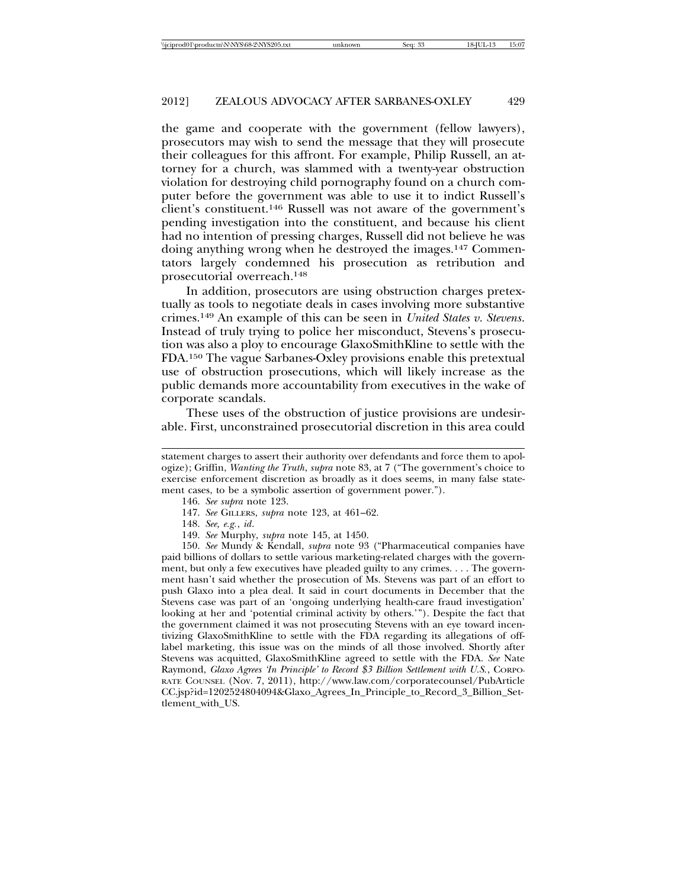the game and cooperate with the government (fellow lawyers), prosecutors may wish to send the message that they will prosecute their colleagues for this affront. For example, Philip Russell, an attorney for a church, was slammed with a twenty-year obstruction violation for destroying child pornography found on a church computer before the government was able to use it to indict Russell's client's constituent.146 Russell was not aware of the government's pending investigation into the constituent, and because his client had no intention of pressing charges, Russell did not believe he was doing anything wrong when he destroyed the images.147 Commentators largely condemned his prosecution as retribution and prosecutorial overreach.148

In addition, prosecutors are using obstruction charges pretextually as tools to negotiate deals in cases involving more substantive crimes.149 An example of this can be seen in *United States v. Stevens*. Instead of truly trying to police her misconduct, Stevens's prosecution was also a ploy to encourage GlaxoSmithKline to settle with the FDA.150 The vague Sarbanes-Oxley provisions enable this pretextual use of obstruction prosecutions, which will likely increase as the public demands more accountability from executives in the wake of corporate scandals.

These uses of the obstruction of justice provisions are undesirable. First, unconstrained prosecutorial discretion in this area could

- 148. *See, e.g.*, *id*.
- 149. *See* Murphy, *supra* note 145, at 1450.

150. *See* Mundy & Kendall, *supra* note 93 ("Pharmaceutical companies have paid billions of dollars to settle various marketing-related charges with the government, but only a few executives have pleaded guilty to any crimes. . . . The government hasn't said whether the prosecution of Ms. Stevens was part of an effort to push Glaxo into a plea deal. It said in court documents in December that the Stevens case was part of an 'ongoing underlying health-care fraud investigation' looking at her and 'potential criminal activity by others.'"). Despite the fact that the government claimed it was not prosecuting Stevens with an eye toward incentivizing GlaxoSmithKline to settle with the FDA regarding its allegations of offlabel marketing, this issue was on the minds of all those involved. Shortly after Stevens was acquitted, GlaxoSmithKline agreed to settle with the FDA. *See* Nate Raymond, *Glaxo Agrees 'In Principle' to Record \$3 Billion Settlement with U.S.*, CORPO-RATE COUNSEL (Nov. 7, 2011), http://www.law.com/corporatecounsel/PubArticle CC.jsp?id=1202524804094&Glaxo\_Agrees\_In\_Principle\_to\_Record\_3\_Billion\_Settlement\_with\_US.

statement charges to assert their authority over defendants and force them to apologize); Griffin, *Wanting the Truth*, *supra* note 83, at 7 ("The government's choice to exercise enforcement discretion as broadly as it does seems, in many false statement cases, to be a symbolic assertion of government power.").

<sup>146.</sup> *See supra* note 123.

<sup>147.</sup> *See* GILLERS, *supra* note 123, at 461–62.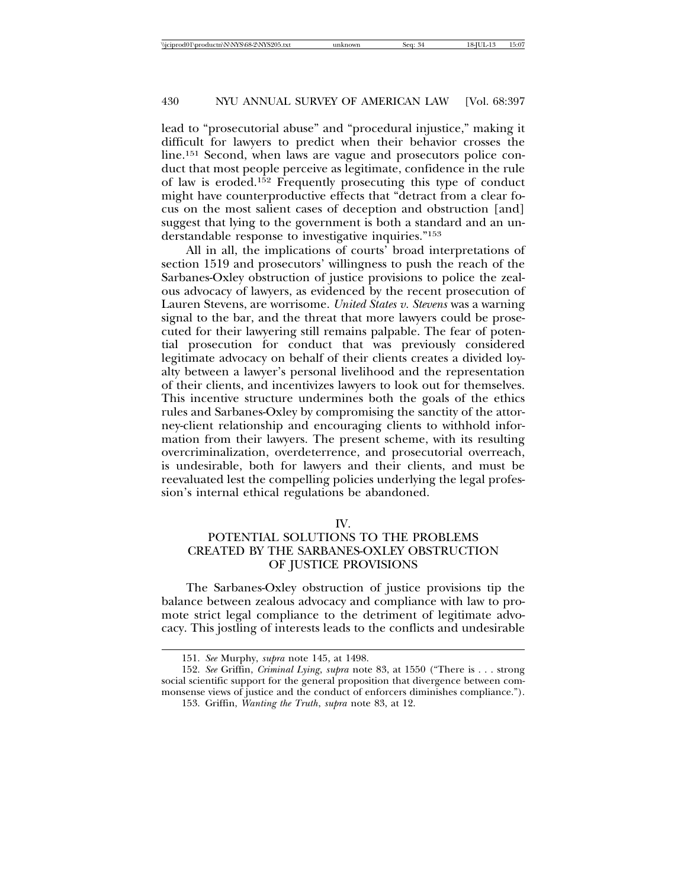lead to "prosecutorial abuse" and "procedural injustice," making it difficult for lawyers to predict when their behavior crosses the line.<sup>151</sup> Second, when laws are vague and prosecutors police conduct that most people perceive as legitimate, confidence in the rule of law is eroded.152 Frequently prosecuting this type of conduct might have counterproductive effects that "detract from a clear focus on the most salient cases of deception and obstruction [and] suggest that lying to the government is both a standard and an understandable response to investigative inquiries."153

All in all, the implications of courts' broad interpretations of section 1519 and prosecutors' willingness to push the reach of the Sarbanes-Oxley obstruction of justice provisions to police the zealous advocacy of lawyers, as evidenced by the recent prosecution of Lauren Stevens, are worrisome. *United States v. Stevens* was a warning signal to the bar, and the threat that more lawyers could be prosecuted for their lawyering still remains palpable. The fear of potential prosecution for conduct that was previously considered legitimate advocacy on behalf of their clients creates a divided loyalty between a lawyer's personal livelihood and the representation of their clients, and incentivizes lawyers to look out for themselves. This incentive structure undermines both the goals of the ethics rules and Sarbanes-Oxley by compromising the sanctity of the attorney-client relationship and encouraging clients to withhold information from their lawyers. The present scheme, with its resulting overcriminalization, overdeterrence, and prosecutorial overreach, is undesirable, both for lawyers and their clients, and must be reevaluated lest the compelling policies underlying the legal profession's internal ethical regulations be abandoned.

#### IV.

# POTENTIAL SOLUTIONS TO THE PROBLEMS CREATED BY THE SARBANES-OXLEY OBSTRUCTION OF JUSTICE PROVISIONS

The Sarbanes-Oxley obstruction of justice provisions tip the balance between zealous advocacy and compliance with law to promote strict legal compliance to the detriment of legitimate advocacy. This jostling of interests leads to the conflicts and undesirable

<sup>151.</sup> *See* Murphy, *supra* note 145, at 1498.

<sup>152.</sup> *See* Griffin, *Criminal Lying*, *supra* note 83, at 1550 ("There is . . . strong social scientific support for the general proposition that divergence between commonsense views of justice and the conduct of enforcers diminishes compliance.").

<sup>153.</sup> Griffin, *Wanting the Truth*, *supra* note 83, at 12.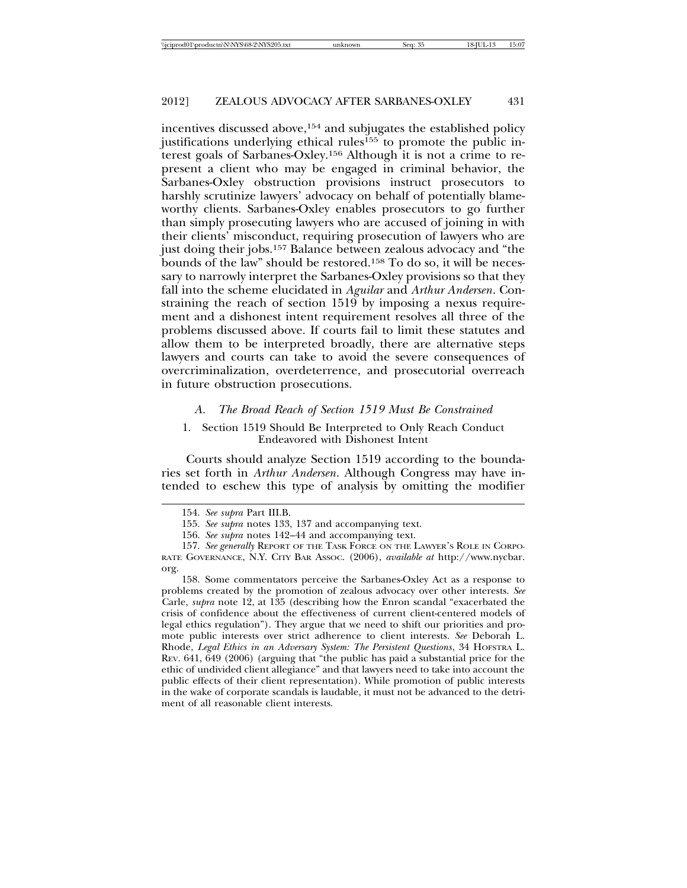incentives discussed above,<sup>154</sup> and subjugates the established policy justifications underlying ethical rules<sup>155</sup> to promote the public interest goals of Sarbanes-Oxley.156 Although it is not a crime to represent a client who may be engaged in criminal behavior, the Sarbanes-Oxley obstruction provisions instruct prosecutors to harshly scrutinize lawyers' advocacy on behalf of potentially blameworthy clients. Sarbanes-Oxley enables prosecutors to go further than simply prosecuting lawyers who are accused of joining in with their clients' misconduct, requiring prosecution of lawyers who are just doing their jobs.157 Balance between zealous advocacy and "the bounds of the law" should be restored.158 To do so, it will be necessary to narrowly interpret the Sarbanes-Oxley provisions so that they fall into the scheme elucidated in *Aguilar* and *Arthur Andersen*. Constraining the reach of section 1519 by imposing a nexus requirement and a dishonest intent requirement resolves all three of the problems discussed above. If courts fail to limit these statutes and allow them to be interpreted broadly, there are alternative steps lawyers and courts can take to avoid the severe consequences of overcriminalization, overdeterrence, and prosecutorial overreach in future obstruction prosecutions.

#### *A. The Broad Reach of Section 1519 Must Be Constrained*

# 1. Section 1519 Should Be Interpreted to Only Reach Conduct Endeavored with Dishonest Intent

Courts should analyze Section 1519 according to the boundaries set forth in *Arthur Andersen*. Although Congress may have intended to eschew this type of analysis by omitting the modifier

158. Some commentators perceive the Sarbanes-Oxley Act as a response to problems created by the promotion of zealous advocacy over other interests. *See* Carle, *supra* note 12, at 135 (describing how the Enron scandal "exacerbated the crisis of confidence about the effectiveness of current client-centered models of legal ethics regulation"). They argue that we need to shift our priorities and promote public interests over strict adherence to client interests. *See* Deborah L. Rhode, *Legal Ethics in an Adversary System: The Persistent Questions*, 34 HOFSTRA L. REV. 641, 649 (2006) (arguing that "the public has paid a substantial price for the ethic of undivided client allegiance" and that lawyers need to take into account the public effects of their client representation). While promotion of public interests in the wake of corporate scandals is laudable, it must not be advanced to the detriment of all reasonable client interests.

<sup>154.</sup> *See supra* Part III.B.

<sup>155.</sup> *See supra* notes 133, 137 and accompanying text.

<sup>156.</sup> *See supra* notes 142–44 and accompanying text.

<sup>157.</sup> *See generally* REPORT OF THE TASK FORCE ON THE LAWYER'S ROLE IN CORPO-RATE GOVERNANCE, N.Y. CITY BAR ASSOC. (2006), *available at* http://www.nycbar. org.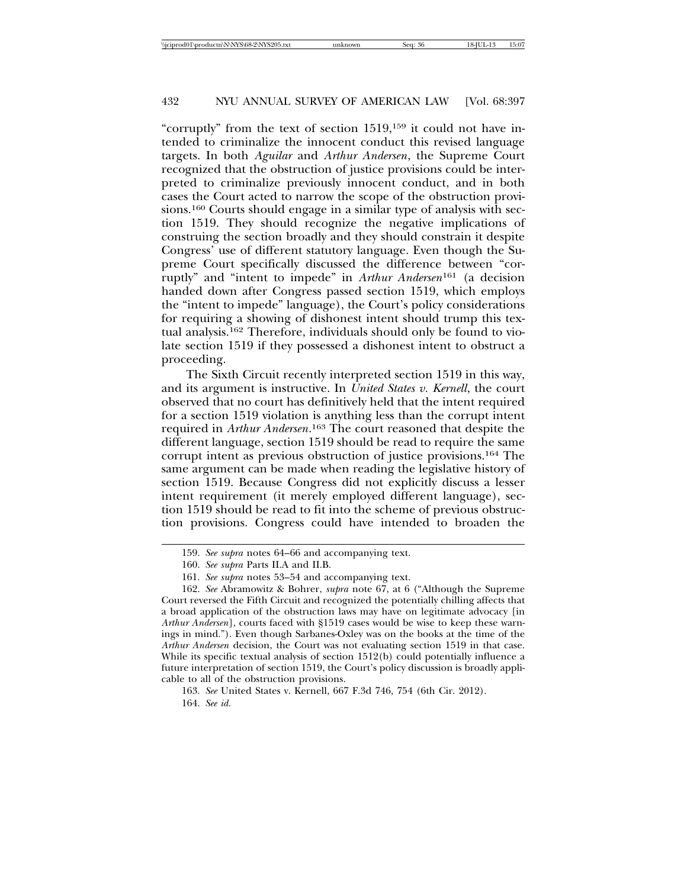"corruptly" from the text of section 1519,159 it could not have intended to criminalize the innocent conduct this revised language targets. In both *Aguilar* and *Arthur Andersen*, the Supreme Court recognized that the obstruction of justice provisions could be interpreted to criminalize previously innocent conduct, and in both cases the Court acted to narrow the scope of the obstruction provisions.160 Courts should engage in a similar type of analysis with section 1519. They should recognize the negative implications of construing the section broadly and they should constrain it despite Congress' use of different statutory language. Even though the Supreme Court specifically discussed the difference between "corruptly" and "intent to impede" in *Arthur Andersen*161 (a decision handed down after Congress passed section 1519, which employs the "intent to impede" language), the Court's policy considerations for requiring a showing of dishonest intent should trump this textual analysis.162 Therefore, individuals should only be found to violate section 1519 if they possessed a dishonest intent to obstruct a proceeding.

The Sixth Circuit recently interpreted section 1519 in this way, and its argument is instructive. In *United States v. Kernell*, the court observed that no court has definitively held that the intent required for a section 1519 violation is anything less than the corrupt intent required in *Arthur Andersen*. 163 The court reasoned that despite the different language, section 1519 should be read to require the same corrupt intent as previous obstruction of justice provisions.164 The same argument can be made when reading the legislative history of section 1519. Because Congress did not explicitly discuss a lesser intent requirement (it merely employed different language), section 1519 should be read to fit into the scheme of previous obstruction provisions. Congress could have intended to broaden the

<sup>159.</sup> *See supra* notes 64–66 and accompanying text.

<sup>160.</sup> *See supra* Parts II.A and II.B.

<sup>161.</sup> *See supra* notes 53–54 and accompanying text.

<sup>162.</sup> *See* Abramowitz & Bohrer, *supra* note 67, at 6 ("Although the Supreme Court reversed the Fifth Circuit and recognized the potentially chilling affects that a broad application of the obstruction laws may have on legitimate advocacy [in *Arthur Andersen*], courts faced with §1519 cases would be wise to keep these warnings in mind."). Even though Sarbanes-Oxley was on the books at the time of the *Arthur Andersen* decision, the Court was not evaluating section 1519 in that case. While its specific textual analysis of section 1512(b) could potentially influence a future interpretation of section 1519, the Court's policy discussion is broadly applicable to all of the obstruction provisions.

<sup>163.</sup> *See* United States v. Kernell, 667 F.3d 746, 754 (6th Cir. 2012). 164. *See id.*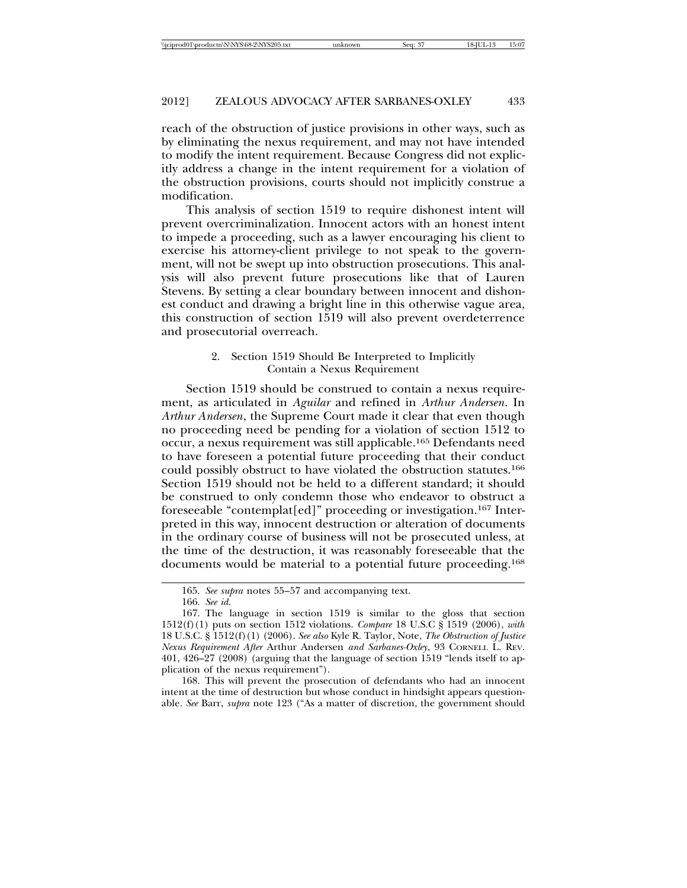reach of the obstruction of justice provisions in other ways, such as by eliminating the nexus requirement, and may not have intended to modify the intent requirement. Because Congress did not explicitly address a change in the intent requirement for a violation of the obstruction provisions, courts should not implicitly construe a modification.

This analysis of section 1519 to require dishonest intent will prevent overcriminalization. Innocent actors with an honest intent to impede a proceeding, such as a lawyer encouraging his client to exercise his attorney-client privilege to not speak to the government, will not be swept up into obstruction prosecutions. This analysis will also prevent future prosecutions like that of Lauren Stevens. By setting a clear boundary between innocent and dishonest conduct and drawing a bright line in this otherwise vague area, this construction of section 1519 will also prevent overdeterrence and prosecutorial overreach.

# 2. Section 1519 Should Be Interpreted to Implicitly Contain a Nexus Requirement

Section 1519 should be construed to contain a nexus requirement, as articulated in *Aguilar* and refined in *Arthur Andersen*. In *Arthur Andersen*, the Supreme Court made it clear that even though no proceeding need be pending for a violation of section 1512 to occur, a nexus requirement was still applicable.165 Defendants need to have foreseen a potential future proceeding that their conduct could possibly obstruct to have violated the obstruction statutes.166 Section 1519 should not be held to a different standard; it should be construed to only condemn those who endeavor to obstruct a foreseeable "contemplat[ed]" proceeding or investigation.167 Interpreted in this way, innocent destruction or alteration of documents in the ordinary course of business will not be prosecuted unless, at the time of the destruction, it was reasonably foreseeable that the documents would be material to a potential future proceeding.168

168. This will prevent the prosecution of defendants who had an innocent intent at the time of destruction but whose conduct in hindsight appears questionable. *See* Barr, *supra* note 123 ("As a matter of discretion, the government should

<sup>165.</sup> *See supra* notes 55–57 and accompanying text.

<sup>166.</sup> *See id.*

<sup>167.</sup> The language in section 1519 is similar to the gloss that section 1512(f)(1) puts on section 1512 violations. *Compare* 18 U.S.C § 1519 (2006), *with* 18 U.S.C. § 1512(f)(1) (2006). *See also* Kyle R. Taylor, Note, *The Obstruction of Justice Nexus Requirement After* Arthur Andersen *and Sarbanes-Oxley*, 93 CORNELL L. REV. 401, 426–27 (2008) (arguing that the language of section 1519 "lends itself to application of the nexus requirement").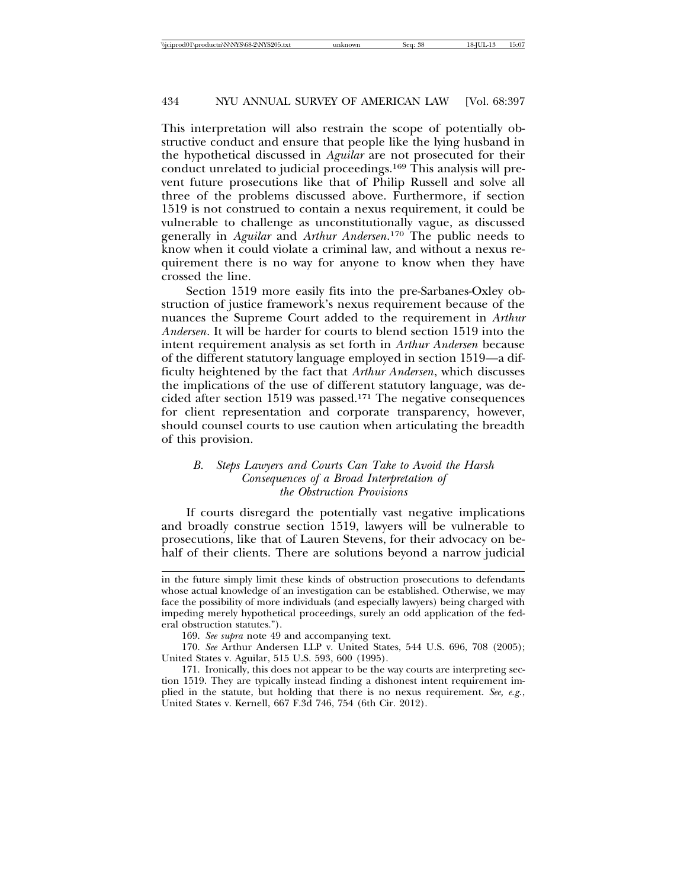This interpretation will also restrain the scope of potentially obstructive conduct and ensure that people like the lying husband in the hypothetical discussed in *Aguilar* are not prosecuted for their conduct unrelated to judicial proceedings.169 This analysis will prevent future prosecutions like that of Philip Russell and solve all three of the problems discussed above. Furthermore, if section 1519 is not construed to contain a nexus requirement, it could be vulnerable to challenge as unconstitutionally vague, as discussed generally in *Aguilar* and *Arthur Andersen*. 170 The public needs to know when it could violate a criminal law, and without a nexus requirement there is no way for anyone to know when they have crossed the line.

Section 1519 more easily fits into the pre-Sarbanes-Oxley obstruction of justice framework's nexus requirement because of the nuances the Supreme Court added to the requirement in *Arthur Andersen*. It will be harder for courts to blend section 1519 into the intent requirement analysis as set forth in *Arthur Andersen* because of the different statutory language employed in section 1519—a difficulty heightened by the fact that *Arthur Andersen*, which discusses the implications of the use of different statutory language, was decided after section 1519 was passed.171 The negative consequences for client representation and corporate transparency, however, should counsel courts to use caution when articulating the breadth of this provision.

# *B. Steps Lawyers and Courts Can Take to Avoid the Harsh Consequences of a Broad Interpretation of the Obstruction Provisions*

If courts disregard the potentially vast negative implications and broadly construe section 1519, lawyers will be vulnerable to prosecutions, like that of Lauren Stevens, for their advocacy on behalf of their clients. There are solutions beyond a narrow judicial

in the future simply limit these kinds of obstruction prosecutions to defendants whose actual knowledge of an investigation can be established. Otherwise, we may face the possibility of more individuals (and especially lawyers) being charged with impeding merely hypothetical proceedings, surely an odd application of the federal obstruction statutes.").

<sup>169.</sup> *See supra* note 49 and accompanying text.

<sup>170.</sup> *See* Arthur Andersen LLP v. United States, 544 U.S. 696, 708 (2005); United States v. Aguilar, 515 U.S. 593, 600 (1995).

<sup>171.</sup> Ironically, this does not appear to be the way courts are interpreting section 1519. They are typically instead finding a dishonest intent requirement implied in the statute, but holding that there is no nexus requirement. *See, e.g.*, United States v. Kernell, 667 F.3d 746, 754 (6th Cir. 2012).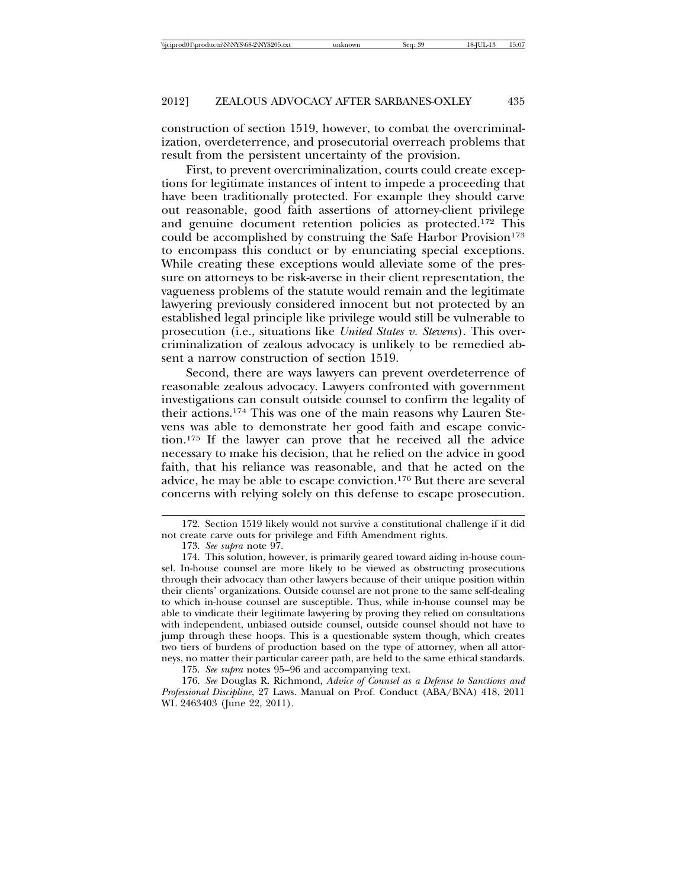construction of section 1519, however, to combat the overcriminalization, overdeterrence, and prosecutorial overreach problems that result from the persistent uncertainty of the provision.

First, to prevent overcriminalization, courts could create exceptions for legitimate instances of intent to impede a proceeding that have been traditionally protected. For example they should carve out reasonable, good faith assertions of attorney-client privilege and genuine document retention policies as protected.172 This could be accomplished by construing the Safe Harbor Provision<sup>173</sup> to encompass this conduct or by enunciating special exceptions. While creating these exceptions would alleviate some of the pressure on attorneys to be risk-averse in their client representation, the vagueness problems of the statute would remain and the legitimate lawyering previously considered innocent but not protected by an established legal principle like privilege would still be vulnerable to prosecution (i.e., situations like *United States v. Stevens*). This overcriminalization of zealous advocacy is unlikely to be remedied absent a narrow construction of section 1519.

Second, there are ways lawyers can prevent overdeterrence of reasonable zealous advocacy. Lawyers confronted with government investigations can consult outside counsel to confirm the legality of their actions.174 This was one of the main reasons why Lauren Stevens was able to demonstrate her good faith and escape conviction.175 If the lawyer can prove that he received all the advice necessary to make his decision, that he relied on the advice in good faith, that his reliance was reasonable, and that he acted on the advice, he may be able to escape conviction.176 But there are several concerns with relying solely on this defense to escape prosecution.

175. *See supra* notes 95–96 and accompanying text.

176. *See* Douglas R. Richmond, *Advice of Counsel as a Defense to Sanctions and Professional Discipline*, 27 Laws. Manual on Prof. Conduct (ABA/BNA) 418, 2011 WL 2463403 (June 22, 2011).

<sup>172.</sup> Section 1519 likely would not survive a constitutional challenge if it did not create carve outs for privilege and Fifth Amendment rights.

<sup>173.</sup> *See supra* note 97.

<sup>174.</sup> This solution, however, is primarily geared toward aiding in-house counsel. In-house counsel are more likely to be viewed as obstructing prosecutions through their advocacy than other lawyers because of their unique position within their clients' organizations. Outside counsel are not prone to the same self-dealing to which in-house counsel are susceptible. Thus, while in-house counsel may be able to vindicate their legitimate lawyering by proving they relied on consultations with independent, unbiased outside counsel, outside counsel should not have to jump through these hoops. This is a questionable system though, which creates two tiers of burdens of production based on the type of attorney, when all attorneys, no matter their particular career path, are held to the same ethical standards.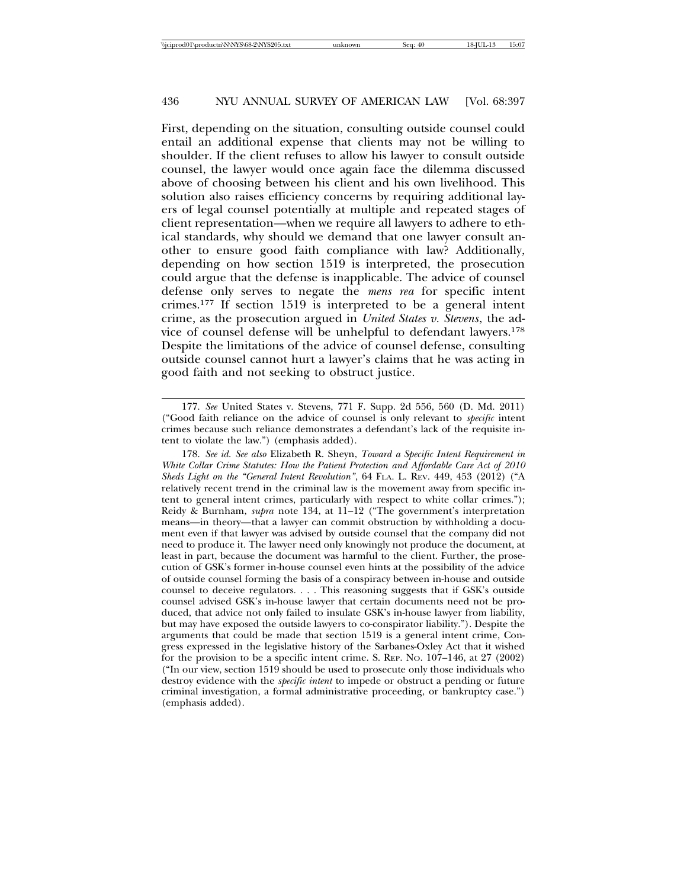First, depending on the situation, consulting outside counsel could entail an additional expense that clients may not be willing to shoulder. If the client refuses to allow his lawyer to consult outside counsel, the lawyer would once again face the dilemma discussed above of choosing between his client and his own livelihood. This solution also raises efficiency concerns by requiring additional layers of legal counsel potentially at multiple and repeated stages of client representation—when we require all lawyers to adhere to ethical standards, why should we demand that one lawyer consult another to ensure good faith compliance with law? Additionally, depending on how section 1519 is interpreted, the prosecution could argue that the defense is inapplicable. The advice of counsel defense only serves to negate the *mens rea* for specific intent crimes.177 If section 1519 is interpreted to be a general intent crime, as the prosecution argued in *United States v. Stevens*, the advice of counsel defense will be unhelpful to defendant lawyers.178 Despite the limitations of the advice of counsel defense, consulting outside counsel cannot hurt a lawyer's claims that he was acting in good faith and not seeking to obstruct justice.

<sup>177.</sup> *See* United States v. Stevens, 771 F. Supp. 2d 556, 560 (D. Md. 2011) ("Good faith reliance on the advice of counsel is only relevant to *specific* intent crimes because such reliance demonstrates a defendant's lack of the requisite intent to violate the law.") (emphasis added).

<sup>178.</sup> *See id. See also* Elizabeth R. Sheyn, *Toward a Specific Intent Requirement in White Collar Crime Statutes: How the Patient Protection and Affordable Care Act of 2010 Sheds Light on the "General Intent Revolution"*, 64 FLA. L. REV. 449, 453 (2012) ("A relatively recent trend in the criminal law is the movement away from specific intent to general intent crimes, particularly with respect to white collar crimes."); Reidy & Burnham, *supra* note 134, at 11–12 ("The government's interpretation means—in theory—that a lawyer can commit obstruction by withholding a document even if that lawyer was advised by outside counsel that the company did not need to produce it. The lawyer need only knowingly not produce the document, at least in part, because the document was harmful to the client. Further, the prosecution of GSK's former in-house counsel even hints at the possibility of the advice of outside counsel forming the basis of a conspiracy between in-house and outside counsel to deceive regulators. . . . This reasoning suggests that if GSK's outside counsel advised GSK's in-house lawyer that certain documents need not be produced, that advice not only failed to insulate GSK's in-house lawyer from liability, but may have exposed the outside lawyers to co-conspirator liability."). Despite the arguments that could be made that section 1519 is a general intent crime, Congress expressed in the legislative history of the Sarbanes-Oxley Act that it wished for the provision to be a specific intent crime. S. REP. NO. 107–146, at 27 (2002) ("In our view, section 1519 should be used to prosecute only those individuals who destroy evidence with the *specific intent* to impede or obstruct a pending or future criminal investigation, a formal administrative proceeding, or bankruptcy case.") (emphasis added).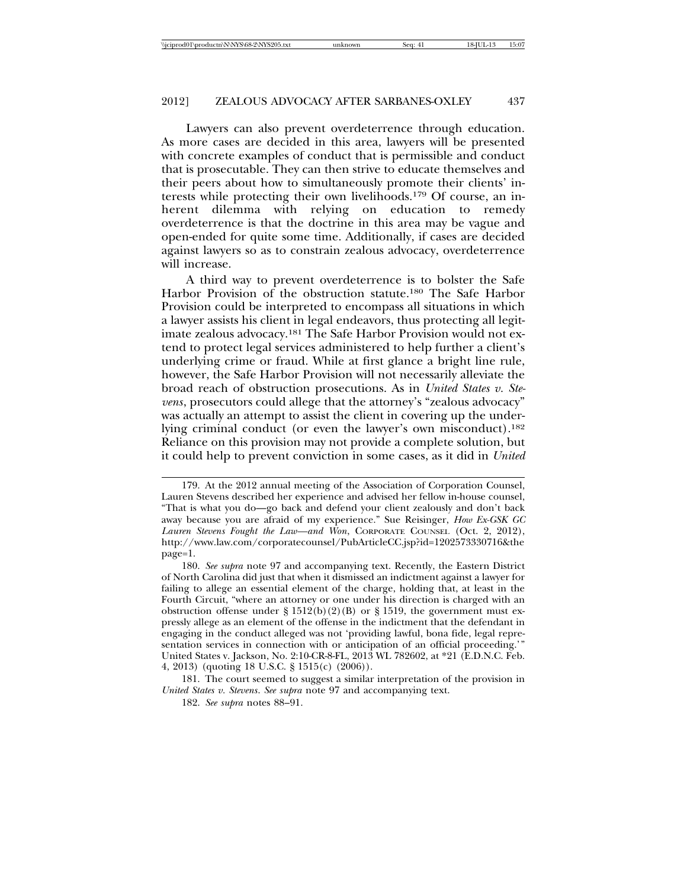Lawyers can also prevent overdeterrence through education. As more cases are decided in this area, lawyers will be presented with concrete examples of conduct that is permissible and conduct that is prosecutable. They can then strive to educate themselves and their peers about how to simultaneously promote their clients' interests while protecting their own livelihoods.179 Of course, an inherent dilemma with relying on education to remedy overdeterrence is that the doctrine in this area may be vague and open-ended for quite some time. Additionally, if cases are decided against lawyers so as to constrain zealous advocacy, overdeterrence will increase.

A third way to prevent overdeterrence is to bolster the Safe Harbor Provision of the obstruction statute.180 The Safe Harbor Provision could be interpreted to encompass all situations in which a lawyer assists his client in legal endeavors, thus protecting all legitimate zealous advocacy.181 The Safe Harbor Provision would not extend to protect legal services administered to help further a client's underlying crime or fraud. While at first glance a bright line rule, however, the Safe Harbor Provision will not necessarily alleviate the broad reach of obstruction prosecutions. As in *United States v. Stevens*, prosecutors could allege that the attorney's "zealous advocacy" was actually an attempt to assist the client in covering up the underlying criminal conduct (or even the lawyer's own misconduct).182 Reliance on this provision may not provide a complete solution, but it could help to prevent conviction in some cases, as it did in *United*

<sup>179.</sup> At the 2012 annual meeting of the Association of Corporation Counsel, Lauren Stevens described her experience and advised her fellow in-house counsel, "That is what you do—go back and defend your client zealously and don't back away because you are afraid of my experience." Sue Reisinger, *How Ex-GSK GC Lauren Stevens Fought the Law—and Won*, CORPORATE COUNSEL (Oct. 2, 2012), http://www.law.com/corporatecounsel/PubArticleCC.jsp?id=1202573330716&the page=1.

<sup>180.</sup> *See supra* note 97 and accompanying text. Recently, the Eastern District of North Carolina did just that when it dismissed an indictment against a lawyer for failing to allege an essential element of the charge, holding that, at least in the Fourth Circuit, "where an attorney or one under his direction is charged with an obstruction offense under § 1512(b)(2)(B) or § 1519, the government must expressly allege as an element of the offense in the indictment that the defendant in engaging in the conduct alleged was not 'providing lawful, bona fide, legal representation services in connection with or anticipation of an official proceeding.'" United States v. Jackson, No. 2:10-CR-8-FL, 2013 WL 782602, at \*21 (E.D.N.C. Feb. 4, 2013) (quoting 18 U.S.C. § 1515(c) (2006)).

<sup>181.</sup> The court seemed to suggest a similar interpretation of the provision in *United States v. Stevens*. *See supra* note 97 and accompanying text.

<sup>182.</sup> *See supra* notes 88–91.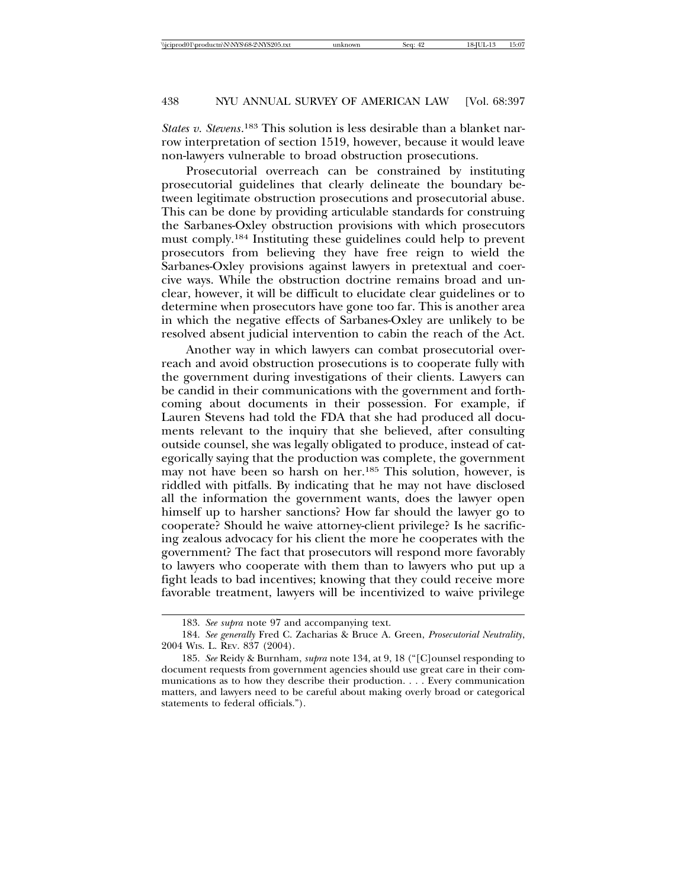*States v. Stevens*. 183 This solution is less desirable than a blanket narrow interpretation of section 1519, however, because it would leave non-lawyers vulnerable to broad obstruction prosecutions.

Prosecutorial overreach can be constrained by instituting prosecutorial guidelines that clearly delineate the boundary between legitimate obstruction prosecutions and prosecutorial abuse. This can be done by providing articulable standards for construing the Sarbanes-Oxley obstruction provisions with which prosecutors must comply.184 Instituting these guidelines could help to prevent prosecutors from believing they have free reign to wield the Sarbanes-Oxley provisions against lawyers in pretextual and coercive ways. While the obstruction doctrine remains broad and unclear, however, it will be difficult to elucidate clear guidelines or to determine when prosecutors have gone too far. This is another area in which the negative effects of Sarbanes-Oxley are unlikely to be resolved absent judicial intervention to cabin the reach of the Act.

Another way in which lawyers can combat prosecutorial overreach and avoid obstruction prosecutions is to cooperate fully with the government during investigations of their clients. Lawyers can be candid in their communications with the government and forthcoming about documents in their possession. For example, if Lauren Stevens had told the FDA that she had produced all documents relevant to the inquiry that she believed, after consulting outside counsel, she was legally obligated to produce, instead of categorically saying that the production was complete, the government may not have been so harsh on her.185 This solution, however, is riddled with pitfalls. By indicating that he may not have disclosed all the information the government wants, does the lawyer open himself up to harsher sanctions? How far should the lawyer go to cooperate? Should he waive attorney-client privilege? Is he sacrificing zealous advocacy for his client the more he cooperates with the government? The fact that prosecutors will respond more favorably to lawyers who cooperate with them than to lawyers who put up a fight leads to bad incentives; knowing that they could receive more favorable treatment, lawyers will be incentivized to waive privilege

<sup>183.</sup> *See supra* note 97 and accompanying text.

<sup>184.</sup> *See generally* Fred C. Zacharias & Bruce A. Green, *Prosecutorial Neutrality*, 2004 WIS. L. REV. 837 (2004).

<sup>185.</sup> *See* Reidy & Burnham, *supra* note 134, at 9, 18 ("[C]ounsel responding to document requests from government agencies should use great care in their communications as to how they describe their production. . . . Every communication matters, and lawyers need to be careful about making overly broad or categorical statements to federal officials.").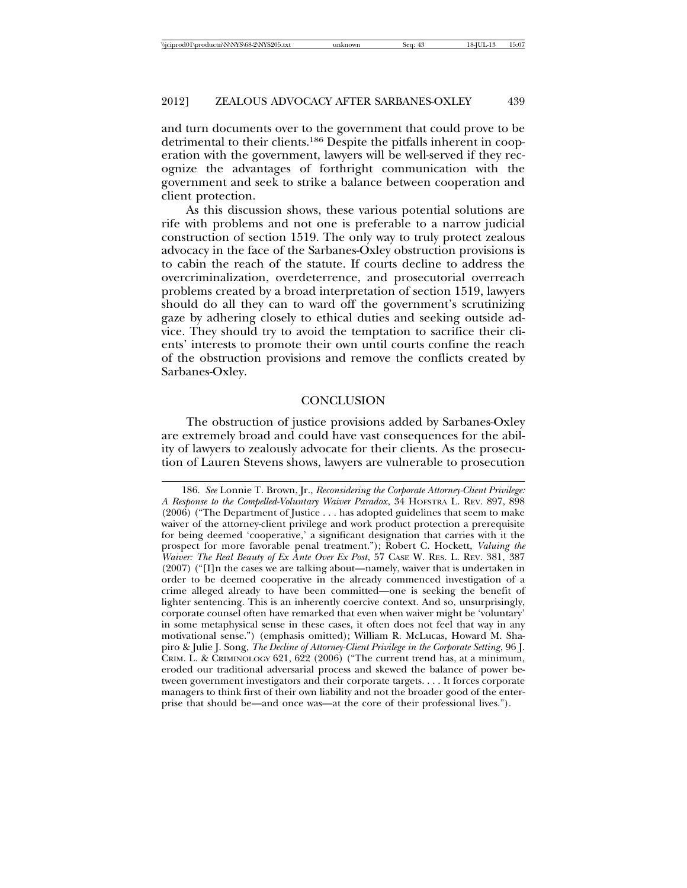and turn documents over to the government that could prove to be detrimental to their clients.186 Despite the pitfalls inherent in cooperation with the government, lawyers will be well-served if they recognize the advantages of forthright communication with the government and seek to strike a balance between cooperation and client protection.

As this discussion shows, these various potential solutions are rife with problems and not one is preferable to a narrow judicial construction of section 1519. The only way to truly protect zealous advocacy in the face of the Sarbanes-Oxley obstruction provisions is to cabin the reach of the statute. If courts decline to address the overcriminalization, overdeterrence, and prosecutorial overreach problems created by a broad interpretation of section 1519, lawyers should do all they can to ward off the government's scrutinizing gaze by adhering closely to ethical duties and seeking outside advice. They should try to avoid the temptation to sacrifice their clients' interests to promote their own until courts confine the reach of the obstruction provisions and remove the conflicts created by Sarbanes-Oxley.

# **CONCLUSION**

The obstruction of justice provisions added by Sarbanes-Oxley are extremely broad and could have vast consequences for the ability of lawyers to zealously advocate for their clients. As the prosecution of Lauren Stevens shows, lawyers are vulnerable to prosecution

<sup>186.</sup> *See* Lonnie T. Brown, Jr., *Reconsidering the Corporate Attorney-Client Privilege: A Response to the Compelled-Voluntary Waiver Paradox*, 34 HOFSTRA L. REV. 897, 898 (2006) ("The Department of Justice . . . has adopted guidelines that seem to make waiver of the attorney-client privilege and work product protection a prerequisite for being deemed 'cooperative,' a significant designation that carries with it the prospect for more favorable penal treatment."); Robert C. Hockett, *Valuing the Waiver: The Real Beauty of Ex Ante Over Ex Post*, 57 CASE W. RES. L. REV. 381, 387 (2007) ("[I]n the cases we are talking about—namely, waiver that is undertaken in order to be deemed cooperative in the already commenced investigation of a crime alleged already to have been committed—one is seeking the benefit of lighter sentencing. This is an inherently coercive context. And so, unsurprisingly, corporate counsel often have remarked that even when waiver might be 'voluntary' in some metaphysical sense in these cases, it often does not feel that way in any motivational sense.") (emphasis omitted); William R. McLucas, Howard M. Shapiro & Julie J. Song, *The Decline of Attorney-Client Privilege in the Corporate Setting*, 96 J. CRIM. L. & CRIMINOLOGY 621, 622 (2006) ("The current trend has, at a minimum, eroded our traditional adversarial process and skewed the balance of power between government investigators and their corporate targets. . . . It forces corporate managers to think first of their own liability and not the broader good of the enterprise that should be—and once was—at the core of their professional lives.").